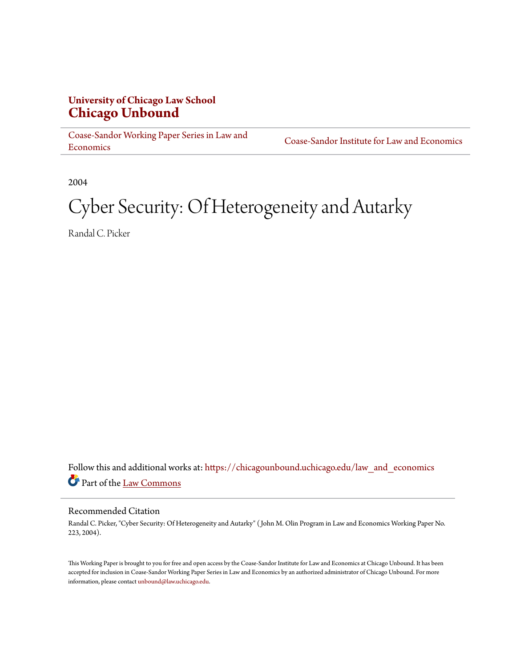#### **University of Chicago Law School [Chicago Unbound](https://chicagounbound.uchicago.edu?utm_source=chicagounbound.uchicago.edu%2Flaw_and_economics%2F154&utm_medium=PDF&utm_campaign=PDFCoverPages)**

[Coase-Sandor Working Paper Series in Law and](https://chicagounbound.uchicago.edu/law_and_economics?utm_source=chicagounbound.uchicago.edu%2Flaw_and_economics%2F154&utm_medium=PDF&utm_campaign=PDFCoverPages) [Economics](https://chicagounbound.uchicago.edu/law_and_economics?utm_source=chicagounbound.uchicago.edu%2Flaw_and_economics%2F154&utm_medium=PDF&utm_campaign=PDFCoverPages)

[Coase-Sandor Institute for Law and Economics](https://chicagounbound.uchicago.edu/coase_sandor_institute?utm_source=chicagounbound.uchicago.edu%2Flaw_and_economics%2F154&utm_medium=PDF&utm_campaign=PDFCoverPages)

2004

## Cyber Security: Of Heterogeneity and Autarky

Randal C. Picker

Follow this and additional works at: [https://chicagounbound.uchicago.edu/law\\_and\\_economics](https://chicagounbound.uchicago.edu/law_and_economics?utm_source=chicagounbound.uchicago.edu%2Flaw_and_economics%2F154&utm_medium=PDF&utm_campaign=PDFCoverPages) Part of the [Law Commons](http://network.bepress.com/hgg/discipline/578?utm_source=chicagounbound.uchicago.edu%2Flaw_and_economics%2F154&utm_medium=PDF&utm_campaign=PDFCoverPages)

#### Recommended Citation

Randal C. Picker, "Cyber Security: Of Heterogeneity and Autarky" ( John M. Olin Program in Law and Economics Working Paper No. 223, 2004).

This Working Paper is brought to you for free and open access by the Coase-Sandor Institute for Law and Economics at Chicago Unbound. It has been accepted for inclusion in Coase-Sandor Working Paper Series in Law and Economics by an authorized administrator of Chicago Unbound. For more information, please contact [unbound@law.uchicago.edu.](mailto:unbound@law.uchicago.edu)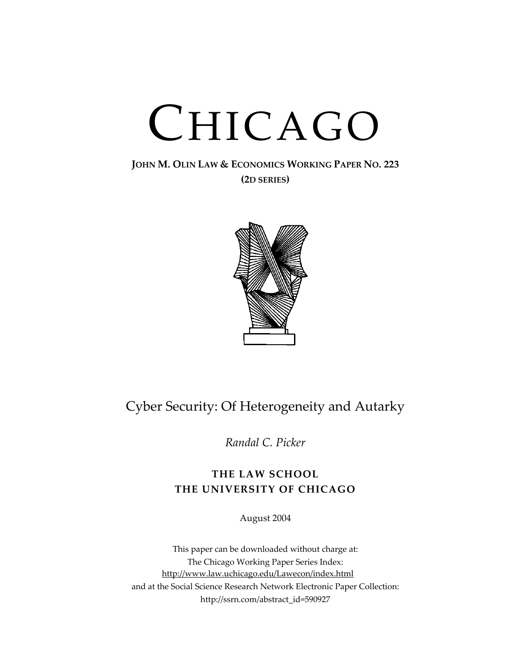# CHICAGO

**JOHN M. OLIN LAW & ECONOMICS WORKING PAPER NO. 223 (2D SERIES)**



### Cyber Security: Of Heterogeneity and Autarky

*Randal C. Picker*

#### **THE LAW SCHOOL THE UNIVERSITY OF CHICAGO**

August 2004

This paper can be downloaded without charge at: The Chicago Working Paper Series Index: <http://www.law.uchicago.edu/Lawecon/index.html> and at the Social Science Research Network Electronic Paper Collection: [http://ssrn.com/abstract\\_id=590927](http://papers.ssrn.com/sol3/search.taf)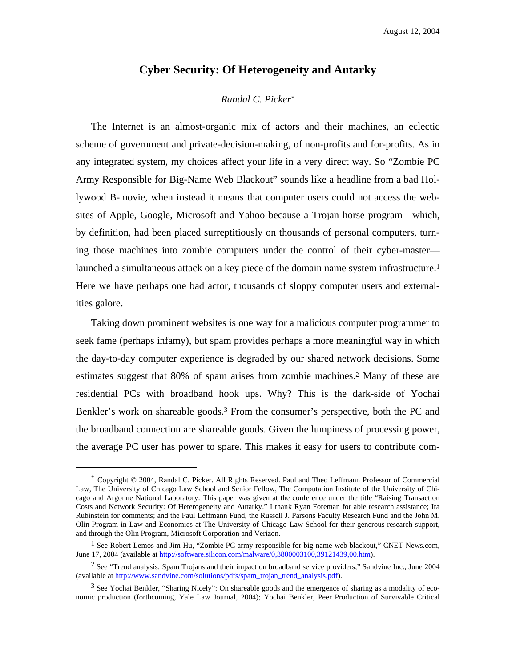#### **Cyber Security: Of Heterogeneity and Autarky**

#### *Randal C. Picke[r\\*](#page-2-0)*

<span id="page-2-3"></span>The Internet is an almost-organic mix of actors and their machines, an eclectic scheme of government and private-decision-making, of non-profits and for-profits. As in any integrated system, my choices affect your life in a very direct way. So "Zombie PC Army Responsible for Big-Name Web Blackout" sounds like a headline from a bad Hollywood B-movie, when instead it means that computer users could not access the websites of Apple, Google, Microsoft and Yahoo because a Trojan horse program—which, by definition, had been placed surreptitiously on thousands of personal computers, turning those machines into zombie computers under the control of their cyber-master— launched a simultaneous attack on a key piece of the domain name system infrastructure.<sup>[1](#page-2-1)</sup> Here we have perhaps one bad actor, thousands of sloppy computer users and externalities galore.

Taking down prominent websites is one way for a malicious computer programmer to seek fame (perhaps infamy), but spam provides perhaps a more meaningful way in which the day-to-day computer experience is degraded by our shared network decisions. Some estimates suggest that 80% of spam arises from zombie machines[.2](#page-2-2) Many of these are residential PCs with broadband hook ups. Why? This is the dark-side of Yochai Benkler's work on shareable goods.<sup>3</sup> From the consumer's perspective, both the PC and the broadband connection are shareable goods. Given the lumpiness of processing power, the average PC user has power to spare. This makes it easy for users to contribute com-

1

<span id="page-2-0"></span><sup>\*</sup> Copyright © 2004, Randal C. Picker. All Rights Reserved. Paul and Theo Leffmann Professor of Commercial Law, The University of Chicago Law School and Senior Fellow, The Computation Institute of the University of Chicago and Argonne National Laboratory. This paper was given at the conference under the title "Raising Transaction Costs and Network Security: Of Heterogeneity and Autarky." I thank Ryan Foreman for able research assistance; Ira Rubinstein for comments; and the Paul Leffmann Fund, the Russell J. Parsons Faculty Research Fund and the John M. Olin Program in Law and Economics at The University of Chicago Law School for their generous research support, and through the Olin Program, Microsoft Corporation and Verizon.

<span id="page-2-1"></span><sup>&</sup>lt;sup>1</sup> See Robert Lemos and Jim Hu, "Zombie PC army responsible for big name web blackout," CNET News.com, June 17, 2004 (available at [http://software.silicon.com/malware/0,3800003100,39121439,00.htm\)](http://software.silicon.com/malware/0,3800003100,39121439,00.htm).

<span id="page-2-2"></span><sup>&</sup>lt;sup>2</sup> See "Trend analysis: Spam Trojans and their impact on broadband service providers," Sandvine Inc., June 2004 (available at [http://www.sandvine.com/solutions/pdfs/spam\\_trojan\\_trend\\_analysis.pdf\)](http://www.sandvine.com/solutions/pdfs/spam_trojan_trend_analysis.pdf).

<sup>&</sup>lt;sup>3</sup> See Yochai Benkler, "Sharing Nicely": On shareable goods and the emergence of sharing as a modality of economic production (forthcoming, Yale Law Journal, 2004); Yochai Benkler, Peer Production of Survivable Critical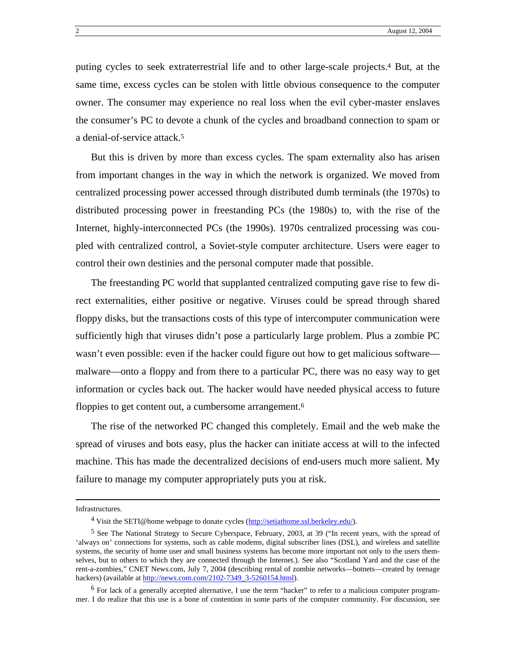<span id="page-3-2"></span>puting cycles to seek extraterrestrial life and to other large-scale projects[.4](#page-3-0) But, at the same time, excess cycles can be stolen with little obvious consequence to the computer owner. The consumer may experience no real loss when the evil cyber-master enslaves the consumer's PC to devote a chunk of the cycles and broadband connection to spam or a denial-of-service attack.[5](#page-3-1)

But this is driven by more than excess cycles. The spam externality also has arisen from important changes in the way in which the network is organized. We moved from centralized processing power accessed through distributed dumb terminals (the 1970s) to distributed processing power in freestanding PCs (the 1980s) to, with the rise of the Internet, highly-interconnected PCs (the 1990s). 1970s centralized processing was coupled with centralized control, a Soviet-style computer architecture. Users were eager to control their own destinies and the personal computer made that possible.

The freestanding PC world that supplanted centralized computing gave rise to few direct externalities, either positive or negative. Viruses could be spread through shared floppy disks, but the transactions costs of this type of intercomputer communication were sufficiently high that viruses didn't pose a particularly large problem. Plus a zombie PC wasn't even possible: even if the hacker could figure out how to get malicious software malware—onto a floppy and from there to a particular PC, there was no easy way to get information or cycles back out. The hacker would have needed physical access to future floppies to get content out, a cumbersome arrangement.<sup>6</sup>

The rise of the networked PC changed this completely. Email and the web make the spread of viruses and bots easy, plus the hacker can initiate access at will to the infected machine. This has made the decentralized decisions of end-users much more salient. My failure to manage my computer appropriately puts you at risk.

Infrastructures.

<span id="page-3-1"></span><span id="page-3-0"></span><sup>&</sup>lt;sup>4</sup> Visit the SETI@home webpage to donate cycles ([http://setiathome.ssl.berkeley.edu/\)](http://setiathome.ssl.berkeley.edu/).

<sup>5</sup> See The National Strategy to Secure Cyberspace, February, 2003, at 39 ("In recent years, with the spread of 'always on' connections for systems, such as cable modems, digital subscriber lines (DSL), and wireless and satellite systems, the security of home user and small business systems has become more important not only to the users themselves, but to others to which they are connected through the Internet.). See also "Scotland Yard and the case of the rent-a-zombies," CNET News.com, July 7, 2004 (describing rental of zombie networks—botnets—created by teenage hackers) (available at [http://news.com.com/2102-7349\\_3-5260154.html\)](http://news.com.com/2102-7349_3-5260154.html).

 $6$  For lack of a generally accepted alternative, I use the term "hacker" to refer to a malicious computer programmer. I do realize that this use is a bone of contention in some parts of the computer community. For discussion, see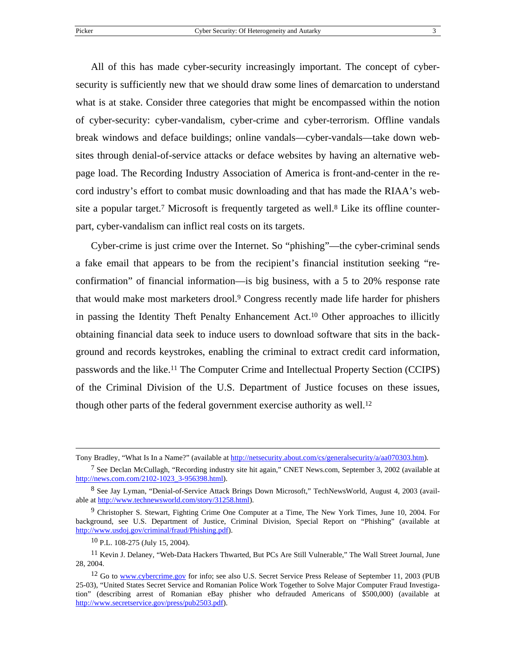All of this has made cyber-security increasingly important. The concept of cybersecurity is sufficiently new that we should draw some lines of demarcation to understand what is at stake. Consider three categories that might be encompassed within the notion of cyber-security: cyber-vandalism, cyber-crime and cyber-terrorism. Offline vandals break windows and deface buildings; online vandals—cyber-vandals—take down websites through denial-of-service attacks or deface websites by having an alternative webpage load. The Recording Industry Association of America is front-and-center in the record industry's effort to combat music downloading and that has made the RIAA's website a popular target[.7](#page-4-0) Microsoft is frequently targeted as well.[8](#page-4-1) Like its offline counterpart, cyber-vandalism can inflict real costs on its targets.

Cyber-crime is just crime over the Internet. So "phishing"—the cyber-criminal sends a fake email that appears to be from the recipient's financial institution seeking "reconfirmation" of financial information—is big business, with a 5 to 20% response rate that would make most marketers drool.[9](#page-4-2) Congress recently made life harder for phishers in passing the Identity Theft Penalty Enhancement Act[.10](#page-4-3) Other approaches to illicitly obtaining financial data seek to induce users to download software that sits in the background and records keystrokes, enabling the criminal to extract credit card information, passwords and the like.[11 T](#page-4-4)he Computer Crime and Intellectual Property Section (CCIPS) of the Criminal Division of the U.S. Department of Justice focuses on these issues, though other parts of the federal government exercise authority as well.[12](#page-4-5)

Tony Bradley, "What Is In a Name?" (available at [http://netsecurity.about.com/cs/generalsecurity/a/aa070303.htm\)](http://netsecurity.about.com/cs/generalsecurity/a/aa070303.htm).

<span id="page-4-0"></span><sup>&</sup>lt;sup>7</sup> See Declan McCullagh, "Recording industry site hit again," CNET News.com, September 3, 2002 (available at [http://news.com.com/2102-1023\\_3-956398.html\)](http://news.com.com/2102-1023_3-956398.html).

<span id="page-4-1"></span><sup>8</sup> See Jay Lyman, "Denial-of-Service Attack Brings Down Microsoft," TechNewsWorld, August 4, 2003 (available at<http://www.technewsworld.com/story/31258.html>).

<span id="page-4-2"></span><sup>9</sup> Christopher S. Stewart, Fighting Crime One Computer at a Time, The New York Times, June 10, 2004. For background, see U.S. Department of Justice, Criminal Division, Special Report on "Phishing" (available at <http://www.usdoj.gov/criminal/fraud/Phishing.pdf>).

<span id="page-4-4"></span><span id="page-4-3"></span><sup>10</sup> P.L. 108-275 (July 15, 2004).

<sup>&</sup>lt;sup>11</sup> Kevin J. Delaney, "Web-Data Hackers Thwarted, But PCs Are Still Vulnerable," The Wall Street Journal, June 28, 2004.

<span id="page-4-5"></span><sup>&</sup>lt;sup>12</sup> Go to [www.cybercrime.gov](http://www.cybercrime.gov/) for info; see also U.S. Secret Service Press Release of September 11, 2003 (PUB 25-03), "United States Secret Service and Romanian Police Work Together to Solve Major Computer Fraud Investigation" (describing arrest of Romanian eBay phisher who defrauded Americans of \$500,000) (available at <http://www.secretservice.gov/press/pub2503.pdf>).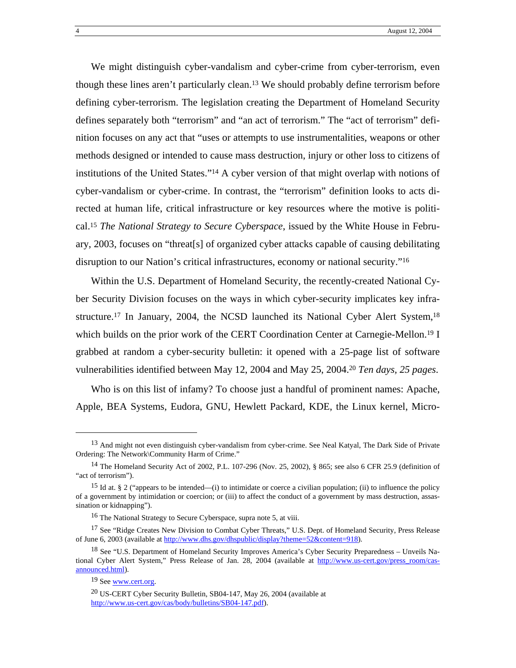We might distinguish cyber-vandalism and cyber-crime from cyber-terrorism, even though these lines aren't particularly clean.[13](#page-5-0) We should probably define terrorism before defining cyber-terrorism. The legislation creating the Department of Homeland Security defines separately both "terrorism" and "an act of terrorism." The "act of terrorism" definition focuses on any act that "uses or attempts to use instrumentalities, weapons or other methods designed or intended to cause mass destruction, injury or other loss to citizens of institutions of the United States.["14](#page-5-1) A cyber version of that might overlap with notions of cyber-vandalism or cyber-crime. In contrast, the "terrorism" definition looks to acts directed at human life, critical infrastructure or key resources where the motive is political[.15](#page-5-2) *The National Strategy to Secure Cyberspace*, issued by the White House in February, 2003, focuses on "threat[s] of organized cyber attacks capable of causing debilitating disruption to our Nation's critical infrastructures, economy or national security."[16](#page-5-3)

Within the U.S. Department of Homeland Security, the recently-created National Cyber Security Division focuses on the ways in which cyber-security implicates key infrastructure.<sup>17</sup> In January, 2004, the NCSD launched its National Cyber Alert System,<sup>18</sup> which builds on the prior work of the CERT Coordination Center at Carnegie-Mellon.<sup>19</sup> I grabbed at random a cyber-security bulletin: it opened with a 25-page list of software vulnerabilities identified between May 12, 2004 and May 25, 2004[.20](#page-5-7) *Ten days, 25 pages*.

Who is on this list of infamy? To choose just a handful of prominent names: Apache, Apple, BEA Systems, Eudora, GNU, Hewlett Packard, KDE, the Linux kernel, Micro-

 $\overline{a}$ 

<span id="page-5-0"></span><sup>&</sup>lt;sup>13</sup> And might not even distinguish cyber-vandalism from cyber-crime. See Neal Katyal, The Dark Side of Private Ordering: The Network\Community Harm of Crime."

<span id="page-5-1"></span><sup>14</sup> The Homeland Security Act of 2002, P.L. 107-296 (Nov. 25, 2002), § 865; see also 6 CFR 25.9 (definition of "act of terrorism").

<span id="page-5-2"></span><sup>&</sup>lt;sup>15</sup> Id at. § 2 ("appears to be intended—(i) to intimidate or coerce a civilian population; (ii) to influence the policy of a government by intimidation or coercion; or (iii) to affect the conduct of a government by mass destruction, assassination or kidnapping").

<span id="page-5-4"></span><span id="page-5-3"></span><sup>16</sup> The National Strategy to Secure Cyberspace, supra note 5, at viii.

<sup>&</sup>lt;sup>17</sup> See "Ridge Creates New Division to Combat Cyber Threats," U.S. Dept. of Homeland Security, Press Release of June 6, 2003 (available at [http://www.dhs.gov/dhspublic/display?theme=52&content=918\)](http://www.dhs.gov/dhspublic/display?theme=52&content=918).

<span id="page-5-5"></span><sup>18</sup> See "U.S. Department of Homeland Security Improves America's Cyber Security Preparedness – Unveils National Cyber Alert System," Press Release of Jan. 28, 2004 (available at [http://www.us-cert.gov/press\\_room/cas](http://www.us-cert.gov/press_room/cas-announced.html)[announced.html\)](http://www.us-cert.gov/press_room/cas-announced.html).

<span id="page-5-6"></span><sup>19</sup> See [www.cert.org](http://www.cert.org/).

<span id="page-5-7"></span><sup>20</sup> US-CERT Cyber Security Bulletin, SB04-147, May 26, 2004 (available at <http://www.us-cert.gov/cas/body/bulletins/SB04-147.pdf>).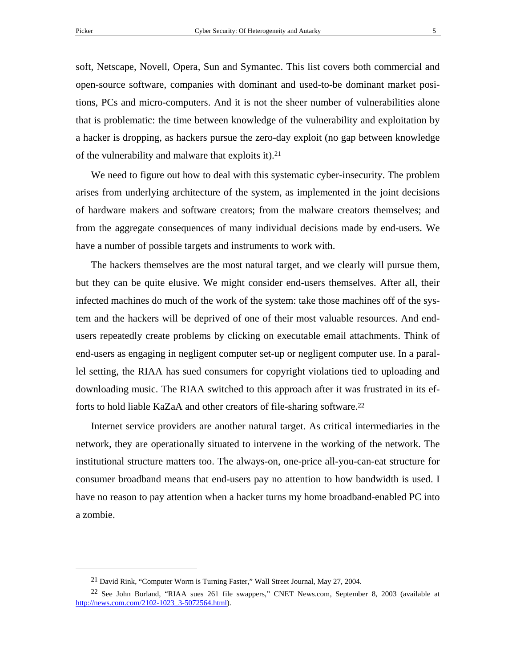$\overline{a}$ 

soft, Netscape, Novell, Opera, Sun and Symantec. This list covers both commercial and open-source software, companies with dominant and used-to-be dominant market positions, PCs and micro-computers. And it is not the sheer number of vulnerabilities alone that is problematic: the time between knowledge of the vulnerability and exploitation by a hacker is dropping, as hackers pursue the zero-day exploit (no gap between knowledge of the vulnerability and malware that exploits it).[21](#page-6-0)

We need to figure out how to deal with this systematic cyber-insecurity. The problem arises from underlying architecture of the system, as implemented in the joint decisions of hardware makers and software creators; from the malware creators themselves; and from the aggregate consequences of many individual decisions made by end-users. We have a number of possible targets and instruments to work with.

The hackers themselves are the most natural target, and we clearly will pursue them, but they can be quite elusive. We might consider end-users themselves. After all, their infected machines do much of the work of the system: take those machines off of the system and the hackers will be deprived of one of their most valuable resources. And endusers repeatedly create problems by clicking on executable email attachments. Think of end-users as engaging in negligent computer set-up or negligent computer use. In a parallel setting, the RIAA has sued consumers for copyright violations tied to uploading and downloading music. The RIAA switched to this approach after it was frustrated in its efforts to hold liable KaZaA and other creators of file-sharing software.[22](#page-6-1)

Internet service providers are another natural target. As critical intermediaries in the network, they are operationally situated to intervene in the working of the network. The institutional structure matters too. The always-on, one-price all-you-can-eat structure for consumer broadband means that end-users pay no attention to how bandwidth is used. I have no reason to pay attention when a hacker turns my home broadband-enabled PC into a zombie.

<span id="page-6-1"></span><span id="page-6-0"></span><sup>21</sup> David Rink, "Computer Worm is Turning Faster," Wall Street Journal, May 27, 2004.

<sup>22</sup> See John Borland, "RIAA sues 261 file swappers," CNET News.com, September 8, 2003 (available at [http://news.com.com/2102-1023\\_3-5072564.html](http://news.com.com/2102-1023_3-5072564.html)).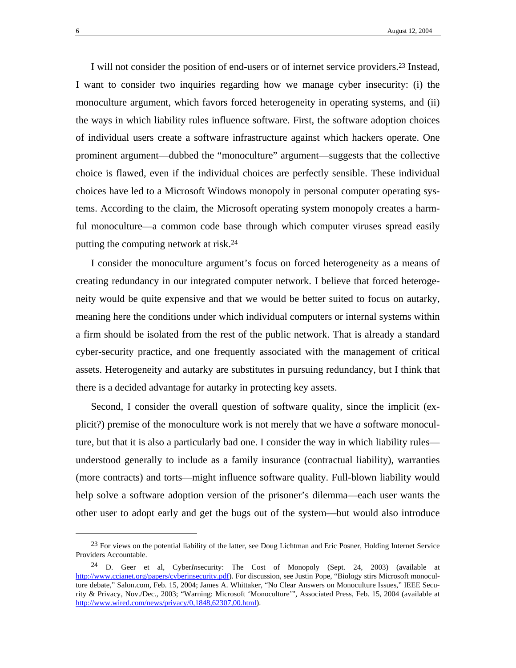I will not consider the position of end-users or of internet service providers[.23](#page-7-0) Instead, I want to consider two inquiries regarding how we manage cyber insecurity: (i) the monoculture argument, which favors forced heterogeneity in operating systems, and (ii) the ways in which liability rules influence software. First, the software adoption choices of individual users create a software infrastructure against which hackers operate. One prominent argument—dubbed the "monoculture" argument—suggests that the collective choice is flawed, even if the individual choices are perfectly sensible. These individual choices have led to a Microsoft Windows monopoly in personal computer operating systems. According to the claim, the Microsoft operating system monopoly creates a harmful monoculture—a common code base through which computer viruses spread easily putting the computing network at risk.[24](#page-7-1)

I consider the monoculture argument's focus on forced heterogeneity as a means of creating redundancy in our integrated computer network. I believe that forced heterogeneity would be quite expensive and that we would be better suited to focus on autarky, meaning here the conditions under which individual computers or internal systems within a firm should be isolated from the rest of the public network. That is already a standard cyber-security practice, and one frequently associated with the management of critical assets. Heterogeneity and autarky are substitutes in pursuing redundancy, but I think that there is a decided advantage for autarky in protecting key assets.

Second, I consider the overall question of software quality, since the implicit (explicit?) premise of the monoculture work is not merely that we have *a* software monoculture, but that it is also a particularly bad one. I consider the way in which liability rules understood generally to include as a family insurance (contractual liability), warranties (more contracts) and torts—might influence software quality. Full-blown liability would help solve a software adoption version of the prisoner's dilemma—each user wants the other user to adopt early and get the bugs out of the system—but would also introduce

<u>.</u>

<span id="page-7-0"></span><sup>&</sup>lt;sup>23</sup> For views on the potential liability of the latter, see Doug Lichtman and Eric Posner, Holding Internet Service Providers Accountable.

<span id="page-7-1"></span><sup>24</sup> D. Geer et al, Cyber*In*security: The Cost of Monopoly (Sept. 24, 2003) (available at [http://www.ccianet.org/papers/cyberinsecurity.pdf\)](http://www.ccianet.org/papers/cyberinsecurity.pdf). For discussion, see Justin Pope, "Biology stirs Microsoft monoculture debate," Salon.com, Feb. 15, 2004; James A. Whittaker, "No Clear Answers on Monoculture Issues," IEEE Security & Privacy, Nov./Dec., 2003; "Warning: Microsoft 'Monoculture'", Associated Press, Feb. 15, 2004 (available at <http://www.wired.com/news/privacy/0,1848,62307,00.html>).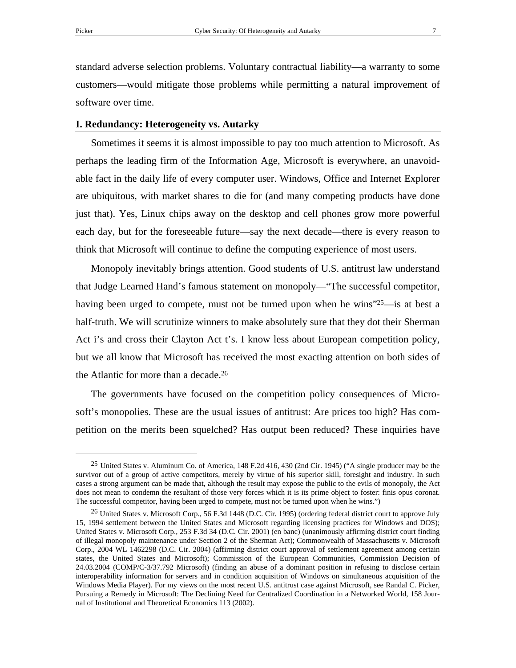$\overline{a}$ 

standard adverse selection problems. Voluntary contractual liability—a warranty to some customers—would mitigate those problems while permitting a natural improvement of software over time.

#### **I. Redundancy: Heterogeneity vs. Autarky**

Sometimes it seems it is almost impossible to pay too much attention to Microsoft. As perhaps the leading firm of the Information Age, Microsoft is everywhere, an unavoidable fact in the daily life of every computer user. Windows, Office and Internet Explorer are ubiquitous, with market shares to die for (and many competing products have done just that). Yes, Linux chips away on the desktop and cell phones grow more powerful each day, but for the foreseeable future—say the next decade—there is every reason to think that Microsoft will continue to define the computing experience of most users.

Monopoly inevitably brings attention. Good students of U.S. antitrust law understand that Judge Learned Hand's famous statement on monopoly—"The successful competitor, having been urged to compete, must not be turned upon when he wins<sup>"25</sup>—is at best a half-truth. We will scrutinize winners to make absolutely sure that they dot their Sherman Act i's and cross their Clayton Act t's. I know less about European competition policy, but we all know that Microsoft has received the most exacting attention on both sides of the Atlantic for more than a decade.[26](#page-8-1)

The governments have focused on the competition policy consequences of Microsoft's monopolies. These are the usual issues of antitrust: Are prices too high? Has competition on the merits been squelched? Has output been reduced? These inquiries have

<span id="page-8-0"></span><sup>25</sup> United States v. Aluminum Co. of America, 148 F.2d 416, 430 (2nd Cir. 1945) ("A single producer may be the survivor out of a group of active competitors, merely by virtue of his superior skill, foresight and industry. In such cases a strong argument can be made that, although the result may expose the public to the evils of monopoly, the Act does not mean to condemn the resultant of those very forces which it is its prime object to foster: finis opus coronat. The successful competitor, having been urged to compete, must not be turned upon when he wins.")

<span id="page-8-1"></span><sup>&</sup>lt;sup>26</sup> United States v. Microsoft Corp., 56 F.3d 1448 (D.C. Cir. 1995) (ordering federal district court to approve July 15, 1994 settlement between the United States and Microsoft regarding licensing practices for Windows and DOS); United States v. Microsoft Corp., 253 F.3d 34 (D.C. Cir. 2001) (en banc) (unanimously affirming district court finding of illegal monopoly maintenance under Section 2 of the Sherman Act); Commonwealth of Massachusetts v. Microsoft Corp., 2004 WL 1462298 (D.C. Cir. 2004) (affirming district court approval of settlement agreement among certain states, the United States and Microsoft); Commission of the European Communities, Commission Decision of 24.03.2004 (COMP/C-3/37.792 Microsoft) (finding an abuse of a dominant position in refusing to disclose certain interoperability information for servers and in condition acquisition of Windows on simultaneous acquisition of the Windows Media Player). For my views on the most recent U.S. antitrust case against Microsoft, see Randal C. Picker, Pursuing a Remedy in Microsoft: The Declining Need for Centralized Coordination in a Networked World, 158 Journal of Institutional and Theoretical Economics 113 (2002).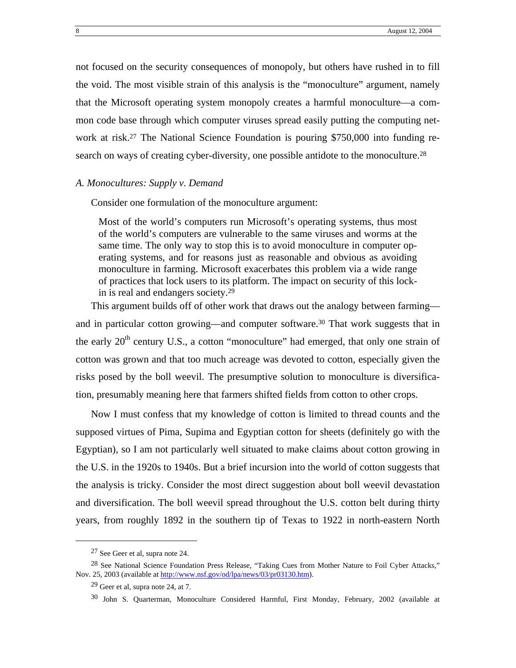<span id="page-9-3"></span>not focused on the security consequences of monopoly, but others have rushed in to fill the void. The most visible strain of this analysis is the "monoculture" argument, namely that the Microsoft operating system monopoly creates a harmful monoculture—a common code base through which computer viruses spread easily putting the computing network at risk.<sup>27</sup> The National Science Foundation is pouring \$750,000 into funding research on ways of creating cyber-diversity, one possible antidote to the monoculture.<sup>28</sup>

#### *A. Monocultures: Supply v. Demand*

Consider one formulation of the monoculture argument:

Most of the world's computers run Microsoft's operating systems, thus most of the world's computers are vulnerable to the same viruses and worms at the same time. The only way to stop this is to avoid monoculture in computer operating systems, and for reasons just as reasonable and obvious as avoiding monoculture in farming. Microsoft exacerbates this problem via a wide range of practices that lock users to its platform. The impact on security of this lockin is real and endangers society.[29](#page-9-2)

This argument builds off of other work that draws out the analogy between farming and in particular cotton growing—and computer software.[30](#page-9-3) That work suggests that in the early 20<sup>th</sup> century U.S., a cotton "monoculture" had emerged, that only one strain of cotton was grown and that too much acreage was devoted to cotton, especially given the risks posed by the boll weevil. The presumptive solution to monoculture is diversification, presumably meaning here that farmers shifted fields from cotton to other crops.

Now I must confess that my knowledge of cotton is limited to thread counts and the supposed virtues of Pima, Supima and Egyptian cotton for sheets (definitely go with the Egyptian), so I am not particularly well situated to make claims about cotton growing in the U.S. in the 1920s to 1940s. But a brief incursion into the world of cotton suggests that the analysis is tricky. Consider the most direct suggestion about boll weevil devastation and diversification. The boll weevil spread throughout the U.S. cotton belt during thirty years, from roughly 1892 in the southern tip of Texas to 1922 in north-eastern North

<u>.</u>

<span id="page-9-1"></span><span id="page-9-0"></span><sup>27</sup> See Geer et al, supra note 24.

<sup>&</sup>lt;sup>28</sup> See National Science Foundation Press Release, "Taking Cues from Mother Nature to Foil Cyber Attacks," Nov. 25, 2003 (available at <http://www.nsf.gov/od/lpa/news/03/pr03130.htm>).

<span id="page-9-2"></span> $29$  Geer et al, supra note 24, at 7.

<sup>30</sup> John S. Quarterman, Monoculture Considered Harmful, First Monday, February, 2002 (available at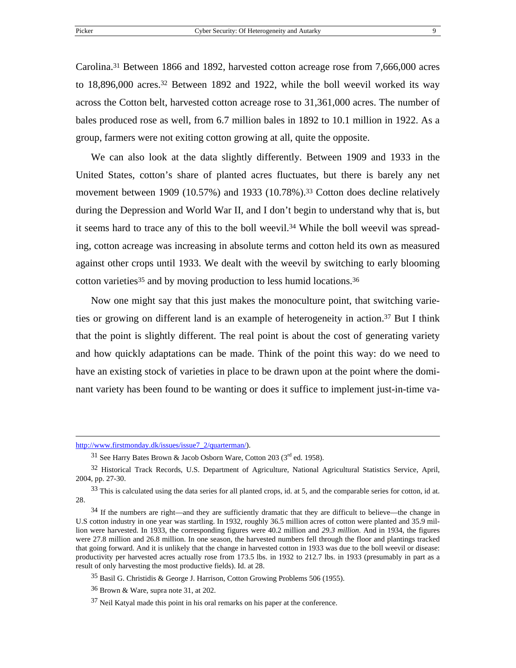Carolina[.31](#page-10-0) Between 1866 and 1892, harvested cotton acreage rose from 7,666,000 acres to 18,896,000 acres.[32](#page-10-1) Between 1892 and 1922, while the boll weevil worked its way across the Cotton belt, harvested cotton acreage rose to 31,361,000 acres. The number of bales produced rose as well, from 6.7 million bales in 1892 to 10.1 million in 1922. As a group, farmers were not exiting cotton growing at all, quite the opposite.

We can also look at the data slightly differently. Between 1909 and 1933 in the United States, cotton's share of planted acres fluctuates, but there is barely any net movement between 1909 (10.57%) and 1933 (10.78%).<sup>33</sup> Cotton does decline relatively during the Depression and World War II, and I don't begin to understand why that is, but it seems hard to trace any of this to the boll weevil.[34 W](#page-10-3)hile the boll weevil was spreading, cotton acreage was increasing in absolute terms and cotton held its own as measured against other crops until 1933. We dealt with the weevil by switching to early blooming cotton varieties<sup>35</sup> and by moving production to less humid locations.<sup>[36](#page-10-5)</sup>

Now one might say that this just makes the monoculture point, that switching varieties or growing on different land is an example of heterogeneity in action[.37](#page-10-6) But I think that the point is slightly different. The real point is about the cost of generating variety and how quickly adaptations can be made. Think of the point this way: do we need to have an existing stock of varieties in place to be drawn upon at the point where the dominant variety has been found to be wanting or does it suffice to implement just-in-time va-

http://www.firstmonday.dk/issues/issue7\_2/quarterman/).

<span id="page-10-1"></span><span id="page-10-0"></span><sup>&</sup>lt;sup>31</sup> See Harry Bates Brown & Jacob Osborn Ware, Cotton 203 ( $3<sup>rd</sup>$  ed. 1958).

<sup>32</sup> Historical Track Records, U.S. Department of Agriculture, National Agricultural Statistics Service, April, 2004, pp. 27-30.

<span id="page-10-2"></span> $33$  This is calculated using the data series for all planted crops, id. at 5, and the comparable series for cotton, id at. 28.

<span id="page-10-3"></span><sup>&</sup>lt;sup>34</sup> If the numbers are right—and they are sufficiently dramatic that they are difficult to believe—the change in U.S cotton industry in one year was startling. In 1932, roughly 36.5 million acres of cotton were planted and 35.9 million were harvested. In 1933, the corresponding figures were 40.2 million and *29.3 million*. And in 1934, the figures were 27.8 million and 26.8 million. In one season, the harvested numbers fell through the floor and plantings tracked that going forward. And it is unlikely that the change in harvested cotton in 1933 was due to the boll weevil or disease: productivity per harvested acres actually rose from 173.5 lbs. in 1932 to 212.7 lbs. in 1933 (presumably in part as a result of only harvesting the most productive fields). Id. at 28.

<span id="page-10-4"></span><sup>35</sup> Basil G. Christidis & George J. Harrison, Cotton Growing Problems 506 (1955).

<span id="page-10-5"></span> $36$  Brown & Ware, supra note 31, at 202.

<span id="page-10-6"></span><sup>37</sup> Neil Katyal made this point in his oral remarks on his paper at the conference.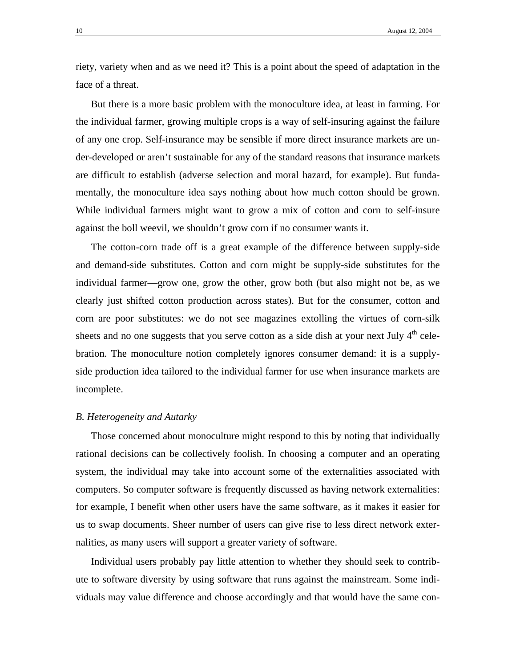riety, variety when and as we need it? This is a point about the speed of adaptation in the face of a threat.

But there is a more basic problem with the monoculture idea, at least in farming. For the individual farmer, growing multiple crops is a way of self-insuring against the failure of any one crop. Self-insurance may be sensible if more direct insurance markets are under-developed or aren't sustainable for any of the standard reasons that insurance markets are difficult to establish (adverse selection and moral hazard, for example). But fundamentally, the monoculture idea says nothing about how much cotton should be grown. While individual farmers might want to grow a mix of cotton and corn to self-insure against the boll weevil, we shouldn't grow corn if no consumer wants it.

The cotton-corn trade off is a great example of the difference between supply-side and demand-side substitutes. Cotton and corn might be supply-side substitutes for the individual farmer—grow one, grow the other, grow both (but also might not be, as we clearly just shifted cotton production across states). But for the consumer, cotton and corn are poor substitutes: we do not see magazines extolling the virtues of corn-silk sheets and no one suggests that you serve cotton as a side dish at your next July  $4<sup>th</sup>$  celebration. The monoculture notion completely ignores consumer demand: it is a supplyside production idea tailored to the individual farmer for use when insurance markets are incomplete.

#### *B. Heterogeneity and Autarky*

Those concerned about monoculture might respond to this by noting that individually rational decisions can be collectively foolish. In choosing a computer and an operating system, the individual may take into account some of the externalities associated with computers. So computer software is frequently discussed as having network externalities: for example, I benefit when other users have the same software, as it makes it easier for us to swap documents. Sheer number of users can give rise to less direct network externalities, as many users will support a greater variety of software.

Individual users probably pay little attention to whether they should seek to contribute to software diversity by using software that runs against the mainstream. Some individuals may value difference and choose accordingly and that would have the same con-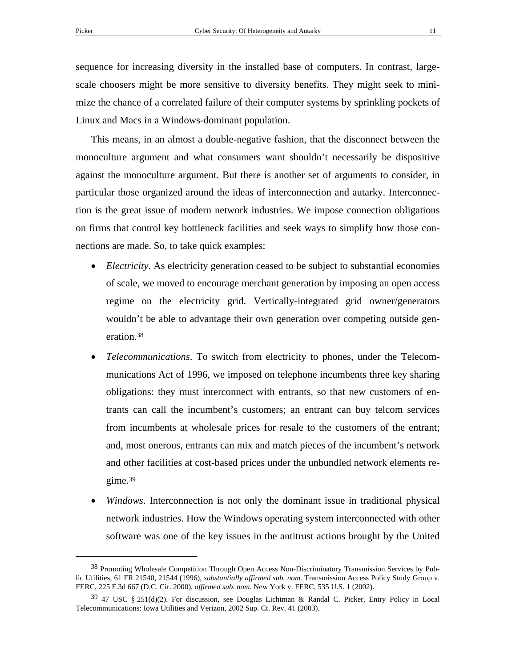$\overline{a}$ 

<span id="page-12-1"></span>sequence for increasing diversity in the installed base of computers. In contrast, largescale choosers might be more sensitive to diversity benefits. They might seek to minimize the chance of a correlated failure of their computer systems by sprinkling pockets of Linux and Macs in a Windows-dominant population.

This means, in an almost a double-negative fashion, that the disconnect between the monoculture argument and what consumers want shouldn't necessarily be dispositive against the monoculture argument. But there is another set of arguments to consider, in particular those organized around the ideas of interconnection and autarky. Interconnection is the great issue of modern network industries. We impose connection obligations on firms that control key bottleneck facilities and seek ways to simplify how those connections are made. So, to take quick examples:

- *Electricity*. As electricity generation ceased to be subject to substantial economies of scale, we moved to encourage merchant generation by imposing an open access regime on the electricity grid. Vertically-integrated grid owner/generators wouldn't be able to advantage their own generation over competing outside generation.[38](#page-12-0)
- *Telecommunications*. To switch from electricity to phones, under the Telecommunications Act of 1996, we imposed on telephone incumbents three key sharing obligations: they must interconnect with entrants, so that new customers of entrants can call the incumbent's customers; an entrant can buy telcom services from incumbents at wholesale prices for resale to the customers of the entrant; and, most onerous, entrants can mix and match pieces of the incumbent's network and other facilities at cost-based prices under the unbundled network elements regime.[39](#page-12-1)
- *Windows*. Interconnection is not only the dominant issue in traditional physical network industries. How the Windows operating system interconnected with other software was one of the key issues in the antitrust actions brought by the United

<span id="page-12-0"></span><sup>&</sup>lt;sup>38</sup> Promoting Wholesale Competition Through Open Access Non-Discriminatory Transmission Services by Public Utilities, 61 FR 21540, 21544 (1996), *substantially affirmed sub. nom.* Transmission Access Policy Study Group v. FERC, 225 F.3d 667 (D.C. Cir. 2000), *affirmed sub. nom.* New York v. FERC, 535 U.S. 1 (2002).

Telecommunications: Iowa Utilities and Verizon, 2002 Sup. Ct. Rev. 41 (2003).  $39$  47 USC § 251(d)(2). For discussion, see Douglas Lichtman & Randal C. Picker, Entry Policy in Local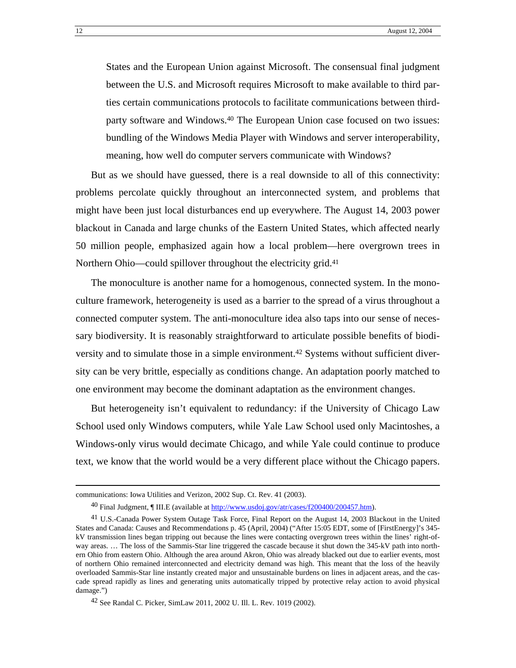States and the European Union against Microsoft. The consensual final judgment between the U.S. and Microsoft requires Microsoft to make available to third parties certain communications protocols to facilitate communications between thirdparty software and Windows.<sup>40</sup> The European Union case focused on two issues: bundling of the Windows Media Player with Windows and server interoperability, meaning, how well do computer servers communicate with Windows?

But as we should have guessed, there is a real downside to all of this connectivity: problems percolate quickly throughout an interconnected system, and problems that might have been just local disturbances end up everywhere. The August 14, 2003 power blackout in Canada and large chunks of the Eastern United States, which affected nearly 50 million people, emphasized again how a local problem—here overgrown trees in Northern Ohio—could spillover throughout the electricity grid.<sup>[41](#page-13-1)</sup>

The monoculture is another name for a homogenous, connected system. In the monoculture framework, heterogeneity is used as a barrier to the spread of a virus throughout a connected computer system. The anti-monoculture idea also taps into our sense of necessary biodiversity. It is reasonably straightforward to articulate possible benefits of biodiversity and to simulate those in a simple environment.[42 S](#page-13-2)ystems without sufficient diversity can be very brittle, especially as conditions change. An adaptation poorly matched to one environment may become the dominant adaptation as the environment changes.

But heterogeneity isn't equivalent to redundancy: if the University of Chicago Law School used only Windows computers, while Yale Law School used only Macintoshes, a Windows-only virus would decimate Chicago, and while Yale could continue to produce text, we know that the world would be a very different place without the Chicago papers.

communications: Iowa Utilities and Verizon, 2002 Sup. Ct. Rev. 41 (2003).

<span id="page-13-1"></span><span id="page-13-0"></span><sup>40</sup> Final Judgment, ¶ III.E (available at <http://www.usdoj.gov/atr/cases/f200400/200457.htm>).

<sup>41</sup> U.S.-Canada Power System Outage Task Force, Final Report on the August 14, 2003 Blackout in the United States and Canada: Causes and Recommendations p. 45 (April, 2004) ("After 15:05 EDT, some of [FirstEnergy]'s 345 kV transmission lines began tripping out because the lines were contacting overgrown trees within the lines' right-ofway areas. ... The loss of the Sammis-Star line triggered the cascade because it shut down the 345-kV path into northern Ohio from eastern Ohio. Although the area around Akron, Ohio was already blacked out due to earlier events, most of northern Ohio remained interconnected and electricity demand was high. This meant that the loss of the heavily overloaded Sammis-Star line instantly created major and unsustainable burdens on lines in adjacent areas, and the cascade spread rapidly as lines and generating units automatically tripped by protective relay action to avoid physical damage.")

<span id="page-13-2"></span><sup>42</sup> See Randal C. Picker, SimLaw 2011, 2002 U. Ill. L. Rev. 1019 (2002).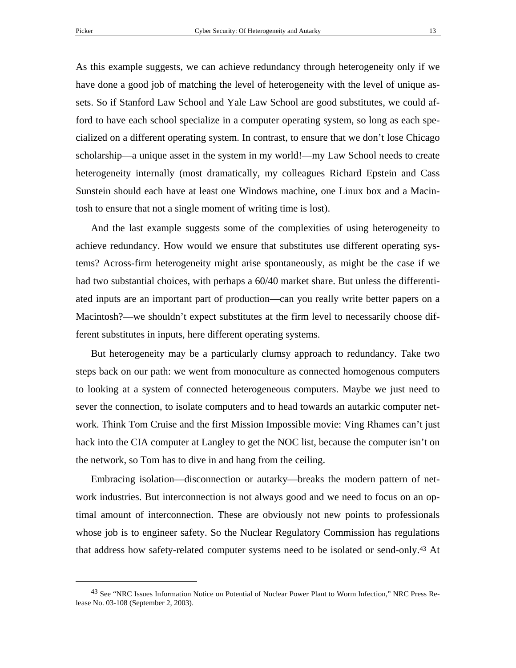1

As this example suggests, we can achieve redundancy through heterogeneity only if we have done a good job of matching the level of heterogeneity with the level of unique assets. So if Stanford Law School and Yale Law School are good substitutes, we could afford to have each school specialize in a computer operating system, so long as each specialized on a different operating system. In contrast, to ensure that we don't lose Chicago scholarship—a unique asset in the system in my world!—my Law School needs to create heterogeneity internally (most dramatically, my colleagues Richard Epstein and Cass Sunstein should each have at least one Windows machine, one Linux box and a Macintosh to ensure that not a single moment of writing time is lost).

And the last example suggests some of the complexities of using heterogeneity to achieve redundancy. How would we ensure that substitutes use different operating systems? Across-firm heterogeneity might arise spontaneously, as might be the case if we had two substantial choices, with perhaps a 60/40 market share. But unless the differentiated inputs are an important part of production—can you really write better papers on a Macintosh?—we shouldn't expect substitutes at the firm level to necessarily choose different substitutes in inputs, here different operating systems.

But heterogeneity may be a particularly clumsy approach to redundancy. Take two steps back on our path: we went from monoculture as connected homogenous computers to looking at a system of connected heterogeneous computers. Maybe we just need to sever the connection, to isolate computers and to head towards an autarkic computer network. Think Tom Cruise and the first Mission Impossible movie: Ving Rhames can't just hack into the CIA computer at Langley to get the NOC list, because the computer isn't on the network, so Tom has to dive in and hang from the ceiling.

Embracing isolation—disconnection or autarky—breaks the modern pattern of network industries. But interconnection is not always good and we need to focus on an optimal amount of interconnection. These are obviously not new points to professionals whose job is to engineer safety. So the Nuclear Regulatory Commission has regulations that address how safety-related computer systems need to be isolated or send-only[.43](#page-14-0) At

<span id="page-14-0"></span><sup>&</sup>lt;sup>43</sup> See "NRC Issues Information Notice on Potential of Nuclear Power Plant to Worm Infection," NRC Press Release No. 03-108 (September 2, 2003).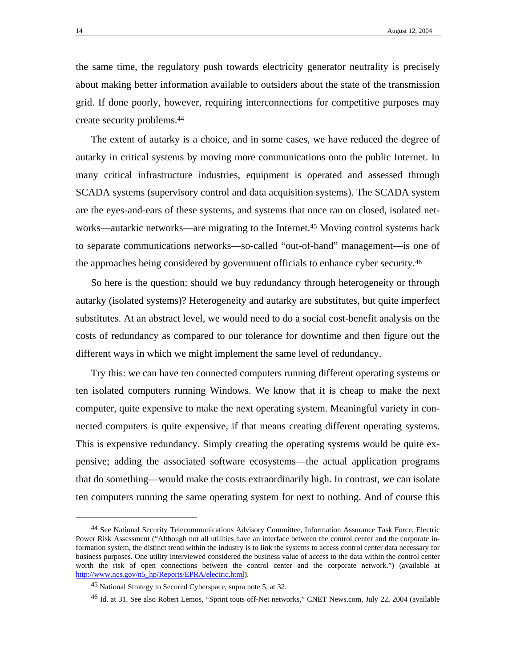<span id="page-15-2"></span>the same time, the regulatory push towards electricity generator neutrality is precisely about making better information available to outsiders about the state of the transmission grid. If done poorly, however, requiring interconnections for competitive purposes may create security problems.[44](#page-15-0)

The extent of autarky is a choice, and in some cases, we have reduced the degree of autarky in critical systems by moving more communications onto the public Internet. In many critical infrastructure industries, equipment is operated and assessed through SCADA systems (supervisory control and data acquisition systems). The SCADA system are the eyes-and-ears of these systems, and systems that once ran on closed, isolated networks—autarkic networks—are migrating to the Internet.<sup>45</sup> Moving control systems back to separate communications networks—so-called "out-of-band" management—is one of the approaches being considered by government officials to enhance cyber security.[46](#page-15-2)

So here is the question: should we buy redundancy through heterogeneity or through autarky (isolated systems)? Heterogeneity and autarky are substitutes, but quite imperfect substitutes. At an abstract level, we would need to do a social cost-benefit analysis on the costs of redundancy as compared to our tolerance for downtime and then figure out the different ways in which we might implement the same level of redundancy.

Try this: we can have ten connected computers running different operating systems or ten isolated computers running Windows. We know that it is cheap to make the next computer, quite expensive to make the next operating system. Meaningful variety in connected computers is quite expensive, if that means creating different operating systems. This is expensive redundancy. Simply creating the operating systems would be quite expensive; adding the associated software ecosystems—the actual application programs that do something—would make the costs extraordinarily high. In contrast, we can isolate ten computers running the same operating system for next to nothing. And of course this

1

<span id="page-15-0"></span><sup>44</sup> See National Security Telecommunications Advisory Committee, Information Assurance Task Force, Electric Power Risk Assessment ("Although not all utilities have an interface between the control center and the corporate information system, the distinct trend within the industry is to link the systems to access control center data necessary for business purposes. One utility interviewed considered the business value of access to the data within the control center worth the risk of open connections between the control center and the corporate network.") (available at [http://www.ncs.gov/n5\\_hp/Reports/EPRA/electric.html](http://www.ncs.gov/n5_hp/Reports/EPRA/electric.html)).

<span id="page-15-1"></span><sup>45</sup> National Strategy to Secured Cyberspace, supra note 5, at 32.

<sup>46</sup> Id. at 31. See also Robert Lemos, "Sprint touts off-Net networks," CNET News.com, July 22, 2004 (available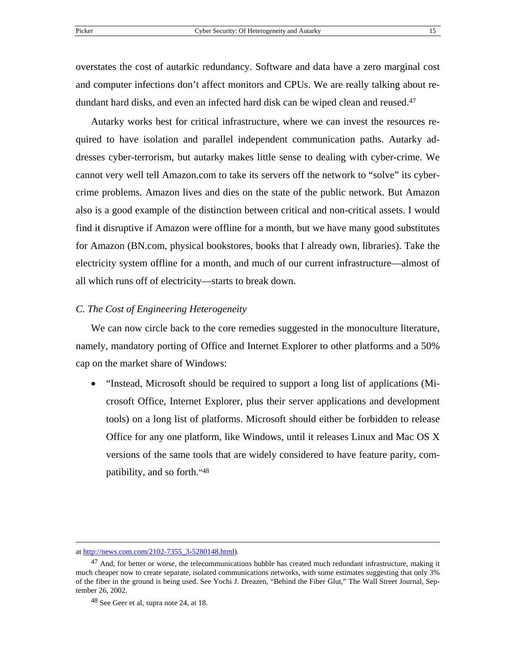overstates the cost of autarkic redundancy. Software and data have a zero marginal cost and computer infections don't affect monitors and CPUs. We are really talking about re-dundant hard disks, and even an infected hard disk can be wiped clean and reused.<sup>[47](#page-16-0)</sup>

Autarky works best for critical infrastructure, where we can invest the resources required to have isolation and parallel independent communication paths. Autarky addresses cyber-terrorism, but autarky makes little sense to dealing with cyber-crime. We cannot very well tell Amazon.com to take its servers off the network to "solve" its cybercrime problems. Amazon lives and dies on the state of the public network. But Amazon also is a good example of the distinction between critical and non-critical assets. I would find it disruptive if Amazon were offline for a month, but we have many good substitutes for Amazon (BN.com, physical bookstores, books that I already own, libraries). Take the electricity system offline for a month, and much of our current infrastructure—almost of all which runs off of electricity—starts to break down.

#### *C. The Cost of Engineering Heterogeneity*

We can now circle back to the core remedies suggested in the monoculture literature, namely, mandatory porting of Office and Internet Explorer to other platforms and a 50% cap on the market share of Windows:

• "Instead, Microsoft should be required to support a long list of applications (Microsoft Office, Internet Explorer, plus their server applications and development tools) on a long list of platforms. Microsoft should either be forbidden to release Office for any one platform, like Windows, until it releases Linux and Mac OS X versions of the same tools that are widely considered to have feature parity, compatibility, and so forth.["48](#page-16-1)

at [http://news.com.com/2102-7355\\_3-5280148.html](http://news.com.com/2102-7355_3-5280148.html)).

<span id="page-16-0"></span><sup>&</sup>lt;sup>47</sup> And, for better or worse, the telecommunications bubble has created much redundant infrastructure, making it much cheaper now to create separate, isolated communications networks, with some estimates suggesting that only 3% of the fiber in the ground is being used. See Yochi J. Dreazen, "Behind the Fiber Glut," The Wall Street Journal, September 26, 2002.

<span id="page-16-1"></span><sup>48</sup> See Geer et al, supra note 24, at 18.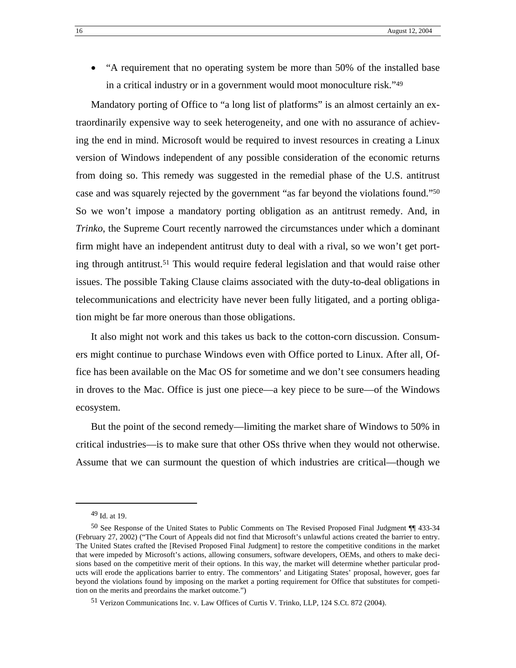• "A requirement that no operating system be more than 50% of the installed base in a critical industry or in a government would moot monoculture risk.["49](#page-17-0)

Mandatory porting of Office to "a long list of platforms" is an almost certainly an extraordinarily expensive way to seek heterogeneity, and one with no assurance of achieving the end in mind. Microsoft would be required to invest resources in creating a Linux version of Windows independent of any possible consideration of the economic returns from doing so. This remedy was suggested in the remedial phase of the U.S. antitrust case and was squarely rejected by the government "as far beyond the violations found.["50](#page-17-1) So we won't impose a mandatory porting obligation as an antitrust remedy. And, in *Trinko*, the Supreme Court recently narrowed the circumstances under which a dominant firm might have an independent antitrust duty to deal with a rival, so we won't get porting through antitrust.[51](#page-17-2) This would require federal legislation and that would raise other issues. The possible Taking Clause claims associated with the duty-to-deal obligations in telecommunications and electricity have never been fully litigated, and a porting obligation might be far more onerous than those obligations.

It also might not work and this takes us back to the cotton-corn discussion. Consumers might continue to purchase Windows even with Office ported to Linux. After all, Office has been available on the Mac OS for sometime and we don't see consumers heading in droves to the Mac. Office is just one piece—a key piece to be sure—of the Windows ecosystem.

But the point of the second remedy—limiting the market share of Windows to 50% in critical industries—is to make sure that other OSs thrive when they would not otherwise. Assume that we can surmount the question of which industries are critical—though we

 $\overline{a}$ 

<span id="page-17-1"></span><span id="page-17-0"></span><sup>49</sup> Id. at 19.

<sup>50</sup> See Response of the United States to Public Comments on The Revised Proposed Final Judgment ¶¶ 433-34 (February 27, 2002) ("The Court of Appeals did not find that Microsoft's unlawful actions created the barrier to entry. The United States crafted the [Revised Proposed Final Judgment] to restore the competitive conditions in the market that were impeded by Microsoft's actions, allowing consumers, software developers, OEMs, and others to make decisions based on the competitive merit of their options. In this way, the market will determine whether particular products will erode the applications barrier to entry. The commentors' and Litigating States' proposal, however, goes far beyond the violations found by imposing on the market a porting requirement for Office that substitutes for competition on the merits and preordains the market outcome.")

<span id="page-17-2"></span><sup>51</sup> Verizon Communications Inc. v. Law Offices of Curtis V. Trinko, LLP, 124 S.Ct. 872 (2004).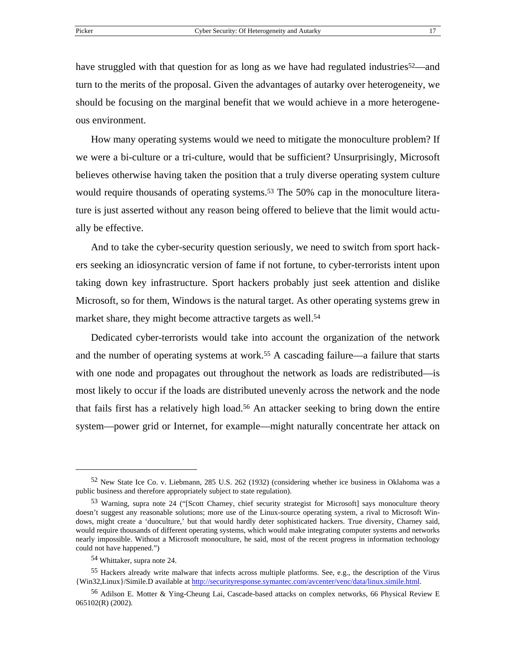have struggled with that question for as long as we have had regulated industries<sup>52</sup>—and turn to the merits of the proposal. Given the advantages of autarky over heterogeneity, we should be focusing on the marginal benefit that we would achieve in a more heterogeneous environment.

How many operating systems would we need to mitigate the monoculture problem? If we were a bi-culture or a tri-culture, would that be sufficient? Unsurprisingly, Microsoft believes otherwise having taken the position that a truly diverse operating system culture would require thousands of operating systems.<sup>53</sup> The 50% cap in the monoculture literature is just asserted without any reason being offered to believe that the limit would actually be effective.

And to take the cyber-security question seriously, we need to switch from sport hackers seeking an idiosyncratic version of fame if not fortune, to cyber-terrorists intent upon taking down key infrastructure. Sport hackers probably just seek attention and dislike Microsoft, so for them, Windows is the natural target. As other operating systems grew in market share, they might become attractive targets as well.<sup>54</sup>

Dedicated cyber-terrorists would take into account the organization of the network and the number of operating systems at work.[55 A](#page-18-3) cascading failure—a failure that starts with one node and propagates out throughout the network as loads are redistributed—is most likely to occur if the loads are distributed unevenly across the network and the node that fails first has a relatively high load.[56](#page-18-4) An attacker seeking to bring down the entire system—power grid or Internet, for example—might naturally concentrate her attack on

1

<span id="page-18-0"></span><sup>52</sup> New State Ice Co. v. Liebmann, 285 U.S. 262 (1932) (considering whether ice business in Oklahoma was a public business and therefore appropriately subject to state regulation).

<span id="page-18-1"></span><sup>53</sup> Warning, supra note 24 ("[Scott Charney, chief security strategist for Microsoft] says monoculture theory doesn't suggest any reasonable solutions; more use of the Linux-source operating system, a rival to Microsoft Windows, might create a 'duoculture,' but that would hardly deter sophisticated hackers. True diversity, Charney said, would require thousands of different operating systems, which would make integrating computer systems and networks nearly impossible. Without a Microsoft monoculture, he said, most of the recent progress in information technology could not have happened.")

<span id="page-18-3"></span><span id="page-18-2"></span><sup>54</sup> Whittaker, supra note 24.

<sup>55</sup> Hackers already write malware that infects across multiple platforms. See, e.g., the description of the Virus {Win32,Linux}/Simile.D available at <http://securityresponse.symantec.com/avcenter/venc/data/linux.simile.html>.

<span id="page-18-4"></span><sup>56</sup> Adilson E. Motter & Ying-Cheung Lai, Cascade-based attacks on complex networks, 66 Physical Review E 065102(R) (2002).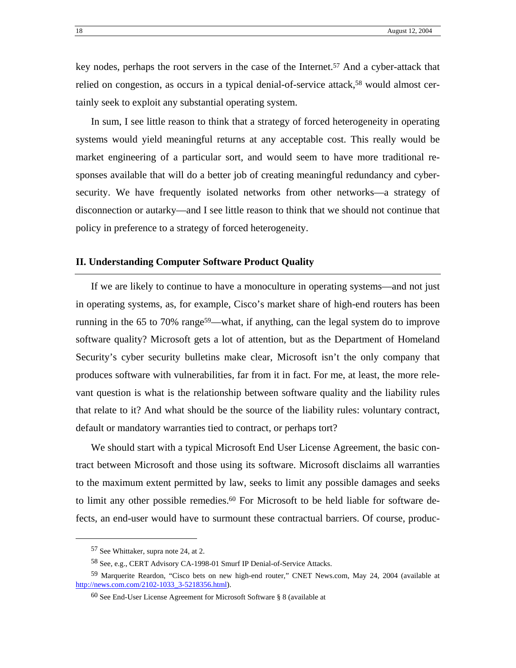<span id="page-19-3"></span>key nodes, perhaps the root servers in the case of the Internet[.57](#page-19-0) And a cyber-attack that relied on congestion, as occurs in a typical denial-of-service attack,<sup>58</sup> would almost certainly seek to exploit any substantial operating system.

In sum, I see little reason to think that a strategy of forced heterogeneity in operating systems would yield meaningful returns at any acceptable cost. This really would be market engineering of a particular sort, and would seem to have more traditional responses available that will do a better job of creating meaningful redundancy and cybersecurity. We have frequently isolated networks from other networks—a strategy of disconnection or autarky—and I see little reason to think that we should not continue that policy in preference to a strategy of forced heterogeneity.

#### **II. Understanding Computer Software Product Quality**

If we are likely to continue to have a monoculture in operating systems—and not just in operating systems, as, for example, Cisco's market share of high-end routers has been running in the 65 to 70% range<sup>59</sup>—what, if anything, can the legal system do to improve software quality? Microsoft gets a lot of attention, but as the Department of Homeland Security's cyber security bulletins make clear, Microsoft isn't the only company that produces software with vulnerabilities, far from it in fact. For me, at least, the more relevant question is what is the relationship between software quality and the liability rules that relate to it? And what should be the source of the liability rules: voluntary contract, default or mandatory warranties tied to contract, or perhaps tort?

We should start with a typical Microsoft End User License Agreement, the basic contract between Microsoft and those using its software. Microsoft disclaims all warranties to the maximum extent permitted by law, seeks to limit any possible damages and seeks to limit any other possible remedies.<sup>60</sup> For Microsoft to be held liable for software defects, an end-user would have to surmount these contractual barriers. Of course, produc-

1

<span id="page-19-0"></span><sup>57</sup> See Whittaker, supra note 24, at 2.

<span id="page-19-2"></span><span id="page-19-1"></span><sup>58</sup> See, e.g., CERT Advisory CA-1998-01 Smurf IP Denial-of-Service Attacks.

<sup>59</sup> Marquerite Reardon, "Cisco bets on new high-end router," CNET News.com, May 24, 2004 (available at [http://news.com.com/2102-1033\\_3-5218356.html](http://news.com.com/2102-1033_3-5218356.html)).

<sup>60</sup> See End-User License Agreement for Microsoft Software § 8 (available at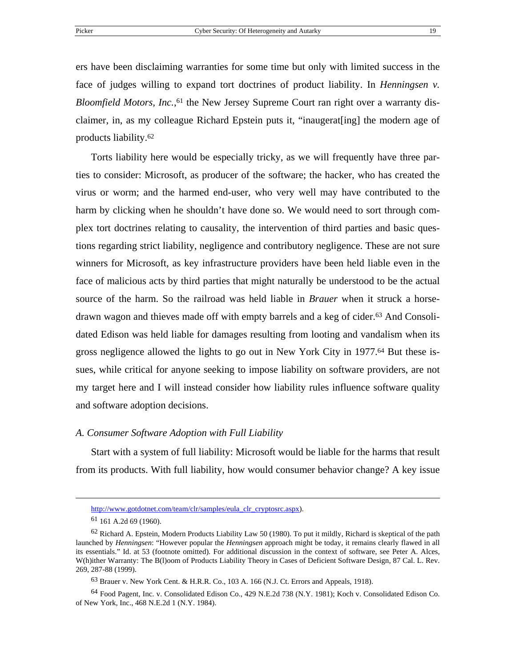ers have been disclaiming warranties for some time but only with limited success in the face of judges willing to expand tort doctrines of product liability. In *Henningsen v.*  Bloomfield Motors, Inc.,<sup>61</sup> the New Jersey Supreme Court ran right over a warranty disclaimer, in, as my colleague Richard Epstein puts it, "inaugerat[ing] the modern age of products liability.[62](#page-20-1)

Torts liability here would be especially tricky, as we will frequently have three parties to consider: Microsoft, as producer of the software; the hacker, who has created the virus or worm; and the harmed end-user, who very well may have contributed to the harm by clicking when he shouldn't have done so. We would need to sort through complex tort doctrines relating to causality, the intervention of third parties and basic questions regarding strict liability, negligence and contributory negligence. These are not sure winners for Microsoft, as key infrastructure providers have been held liable even in the face of malicious acts by third parties that might naturally be understood to be the actual source of the harm. So the railroad was held liable in *Brauer* when it struck a horsedrawn wagon and thieves made off with empty barrels and a keg of cider.[63 A](#page-20-2)nd Consolidated Edison was held liable for damages resulting from looting and vandalism when its gross negligence allowed the lights to go out in New York City in 1977.[64](#page-20-3) But these issues, while critical for anyone seeking to impose liability on software providers, are not my target here and I will instead consider how liability rules influence software quality and software adoption decisions.

#### *A. Consumer Software Adoption with Full Liability*

Start with a system of full liability: Microsoft would be liable for the harms that result from its products. With full liability, how would consumer behavior change? A key issue

 $\overline{a}$ 

[http://www.gotdotnet.com/team/clr/samples/eula\\_clr\\_cryptosrc.aspx](http://www.gotdotnet.com/team/clr/samples/eula_clr_cryptosrc.aspx)).

<span id="page-20-1"></span><span id="page-20-0"></span><sup>61 161</sup> A.2d 69 (1960).

<sup>62</sup> Richard A. Epstein, Modern Products Liability Law 50 (1980). To put it mildly, Richard is skeptical of the path launched by *Henningsen*: "However popular the *Henningsen* approach might be today, it remains clearly flawed in all its essentials." Id. at 53 (footnote omitted). For additional discussion in the context of software, see Peter A. Alces, W(h)ither Warranty: The B(l)oom of Products Liability Theory in Cases of Deficient Software Design, 87 Cal. L. Rev. 269, 287-88 (1999).

<span id="page-20-3"></span><span id="page-20-2"></span><sup>63</sup> Brauer v. New York Cent. & H.R.R. Co., 103 A. 166 (N.J. Ct. Errors and Appeals, 1918).

<sup>64</sup> Food Pagent, Inc. v. Consolidated Edison Co., 429 N.E.2d 738 (N.Y. 1981); Koch v. Consolidated Edison Co. of New York, Inc., 468 N.E.2d 1 (N.Y. 1984).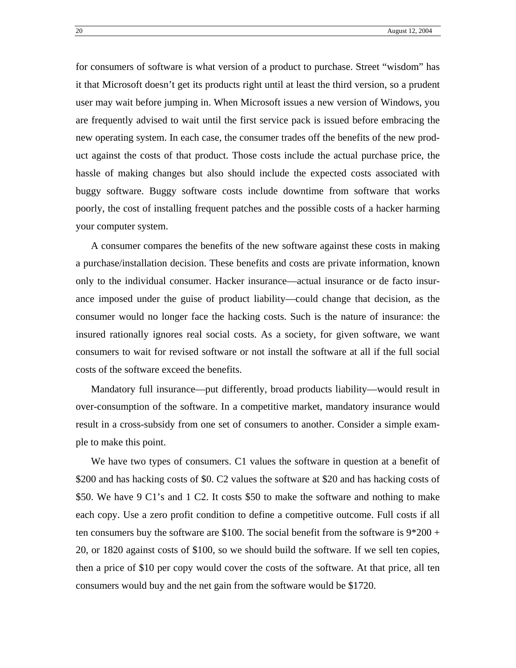for consumers of software is what version of a product to purchase. Street "wisdom" has it that Microsoft doesn't get its products right until at least the third version, so a prudent user may wait before jumping in. When Microsoft issues a new version of Windows, you are frequently advised to wait until the first service pack is issued before embracing the new operating system. In each case, the consumer trades off the benefits of the new product against the costs of that product. Those costs include the actual purchase price, the hassle of making changes but also should include the expected costs associated with buggy software. Buggy software costs include downtime from software that works poorly, the cost of installing frequent patches and the possible costs of a hacker harming your computer system.

A consumer compares the benefits of the new software against these costs in making a purchase/installation decision. These benefits and costs are private information, known only to the individual consumer. Hacker insurance—actual insurance or de facto insurance imposed under the guise of product liability—could change that decision, as the consumer would no longer face the hacking costs. Such is the nature of insurance: the insured rationally ignores real social costs. As a society, for given software, we want consumers to wait for revised software or not install the software at all if the full social costs of the software exceed the benefits.

Mandatory full insurance—put differently, broad products liability—would result in over-consumption of the software. In a competitive market, mandatory insurance would result in a cross-subsidy from one set of consumers to another. Consider a simple example to make this point.

We have two types of consumers. C1 values the software in question at a benefit of \$200 and has hacking costs of \$0. C2 values the software at \$20 and has hacking costs of \$50. We have 9 C1's and 1 C2. It costs \$50 to make the software and nothing to make each copy. Use a zero profit condition to define a competitive outcome. Full costs if all ten consumers buy the software are \$100. The social benefit from the software is 9\*200 + 20, or 1820 against costs of \$100, so we should build the software. If we sell ten copies, then a price of \$10 per copy would cover the costs of the software. At that price, all ten consumers would buy and the net gain from the software would be \$1720.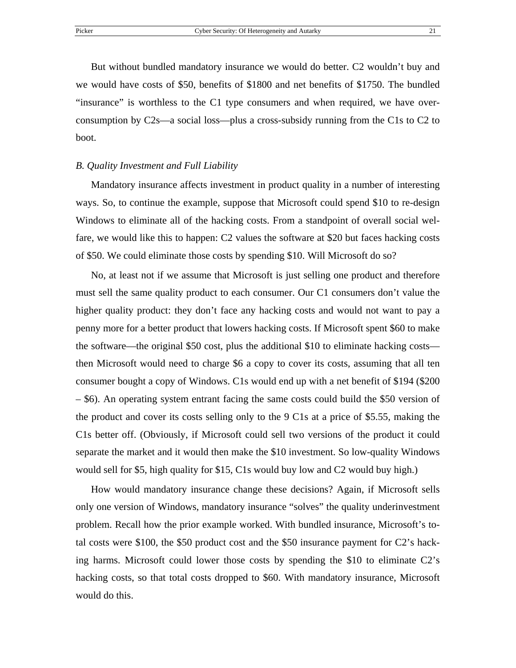But without bundled mandatory insurance we would do better. C2 wouldn't buy and we would have costs of \$50, benefits of \$1800 and net benefits of \$1750. The bundled "insurance" is worthless to the C1 type consumers and when required, we have overconsumption by C2s—a social loss—plus a cross-subsidy running from the C1s to C2 to boot.

#### *B. Quality Investment and Full Liability*

Mandatory insurance affects investment in product quality in a number of interesting ways. So, to continue the example, suppose that Microsoft could spend \$10 to re-design Windows to eliminate all of the hacking costs. From a standpoint of overall social welfare, we would like this to happen: C2 values the software at \$20 but faces hacking costs of \$50. We could eliminate those costs by spending \$10. Will Microsoft do so?

No, at least not if we assume that Microsoft is just selling one product and therefore must sell the same quality product to each consumer. Our C1 consumers don't value the higher quality product: they don't face any hacking costs and would not want to pay a penny more for a better product that lowers hacking costs. If Microsoft spent \$60 to make the software—the original \$50 cost, plus the additional \$10 to eliminate hacking costs then Microsoft would need to charge \$6 a copy to cover its costs, assuming that all ten consumer bought a copy of Windows. C1s would end up with a net benefit of \$194 (\$200 – \$6). An operating system entrant facing the same costs could build the \$50 version of the product and cover its costs selling only to the 9 C1s at a price of \$5.55, making the C1s better off. (Obviously, if Microsoft could sell two versions of the product it could separate the market and it would then make the \$10 investment. So low-quality Windows would sell for \$5, high quality for \$15, C1s would buy low and C2 would buy high.)

How would mandatory insurance change these decisions? Again, if Microsoft sells only one version of Windows, mandatory insurance "solves" the quality underinvestment problem. Recall how the prior example worked. With bundled insurance, Microsoft's total costs were \$100, the \$50 product cost and the \$50 insurance payment for C2's hacking harms. Microsoft could lower those costs by spending the \$10 to eliminate C2's hacking costs, so that total costs dropped to \$60. With mandatory insurance, Microsoft would do this.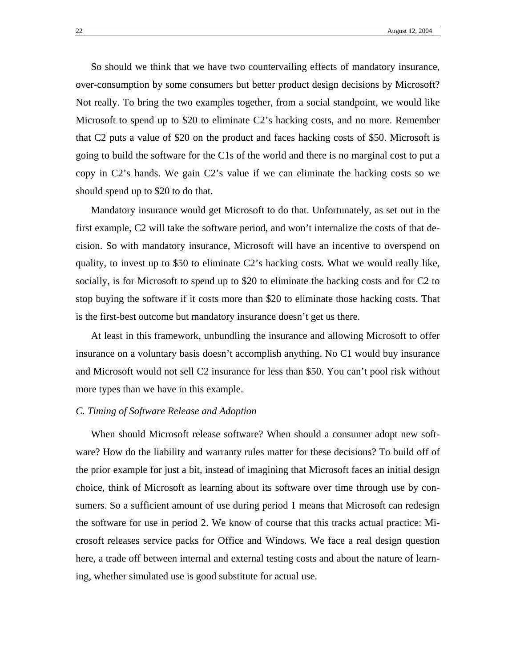So should we think that we have two countervailing effects of mandatory insurance, over-consumption by some consumers but better product design decisions by Microsoft? Not really. To bring the two examples together, from a social standpoint, we would like Microsoft to spend up to \$20 to eliminate C2's hacking costs, and no more. Remember that C2 puts a value of \$20 on the product and faces hacking costs of \$50. Microsoft is going to build the software for the C1s of the world and there is no marginal cost to put a copy in C2's hands. We gain C2's value if we can eliminate the hacking costs so we should spend up to \$20 to do that.

Mandatory insurance would get Microsoft to do that. Unfortunately, as set out in the first example, C2 will take the software period, and won't internalize the costs of that decision. So with mandatory insurance, Microsoft will have an incentive to overspend on quality, to invest up to \$50 to eliminate C2's hacking costs. What we would really like, socially, is for Microsoft to spend up to \$20 to eliminate the hacking costs and for C2 to stop buying the software if it costs more than \$20 to eliminate those hacking costs. That is the first-best outcome but mandatory insurance doesn't get us there.

At least in this framework, unbundling the insurance and allowing Microsoft to offer insurance on a voluntary basis doesn't accomplish anything. No C1 would buy insurance and Microsoft would not sell C2 insurance for less than \$50. You can't pool risk without more types than we have in this example.

#### *C. Timing of Software Release and Adoption*

When should Microsoft release software? When should a consumer adopt new software? How do the liability and warranty rules matter for these decisions? To build off of the prior example for just a bit, instead of imagining that Microsoft faces an initial design choice, think of Microsoft as learning about its software over time through use by consumers. So a sufficient amount of use during period 1 means that Microsoft can redesign the software for use in period 2. We know of course that this tracks actual practice: Microsoft releases service packs for Office and Windows. We face a real design question here, a trade off between internal and external testing costs and about the nature of learning, whether simulated use is good substitute for actual use.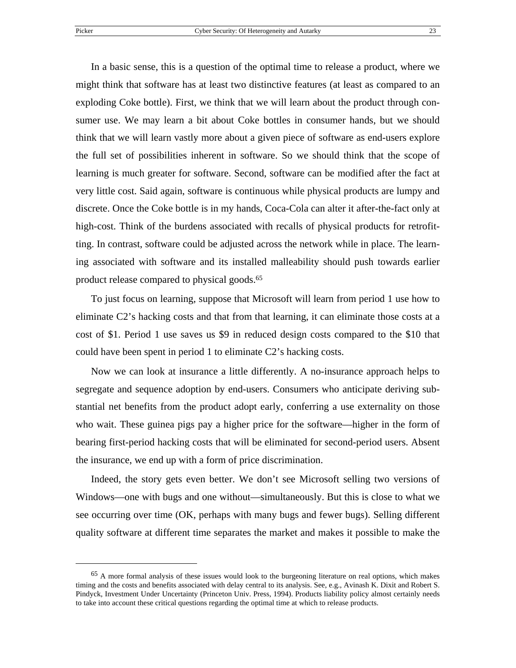$\overline{a}$ 

In a basic sense, this is a question of the optimal time to release a product, where we might think that software has at least two distinctive features (at least as compared to an exploding Coke bottle). First, we think that we will learn about the product through consumer use. We may learn a bit about Coke bottles in consumer hands, but we should think that we will learn vastly more about a given piece of software as end-users explore the full set of possibilities inherent in software. So we should think that the scope of learning is much greater for software. Second, software can be modified after the fact at very little cost. Said again, software is continuous while physical products are lumpy and discrete. Once the Coke bottle is in my hands, Coca-Cola can alter it after-the-fact only at high-cost. Think of the burdens associated with recalls of physical products for retrofitting. In contrast, software could be adjusted across the network while in place. The learning associated with software and its installed malleability should push towards earlier product release compared to physical goods.[65](#page-24-0)

To just focus on learning, suppose that Microsoft will learn from period 1 use how to eliminate C2's hacking costs and that from that learning, it can eliminate those costs at a cost of \$1. Period 1 use saves us \$9 in reduced design costs compared to the \$10 that could have been spent in period 1 to eliminate C2's hacking costs.

Now we can look at insurance a little differently. A no-insurance approach helps to segregate and sequence adoption by end-users. Consumers who anticipate deriving substantial net benefits from the product adopt early, conferring a use externality on those who wait. These guinea pigs pay a higher price for the software—higher in the form of bearing first-period hacking costs that will be eliminated for second-period users. Absent the insurance, we end up with a form of price discrimination.

Indeed, the story gets even better. We don't see Microsoft selling two versions of Windows—one with bugs and one without—simultaneously. But this is close to what we see occurring over time (OK, perhaps with many bugs and fewer bugs). Selling different quality software at different time separates the market and makes it possible to make the

<span id="page-24-0"></span><sup>65</sup> A more formal analysis of these issues would look to the burgeoning literature on real options, which makes timing and the costs and benefits associated with delay central to its analysis. See, e.g., Avinash K. Dixit and Robert S. Pindyck, Investment Under Uncertainty (Princeton Univ. Press, 1994). Products liability policy almost certainly needs to take into account these critical questions regarding the optimal time at which to release products.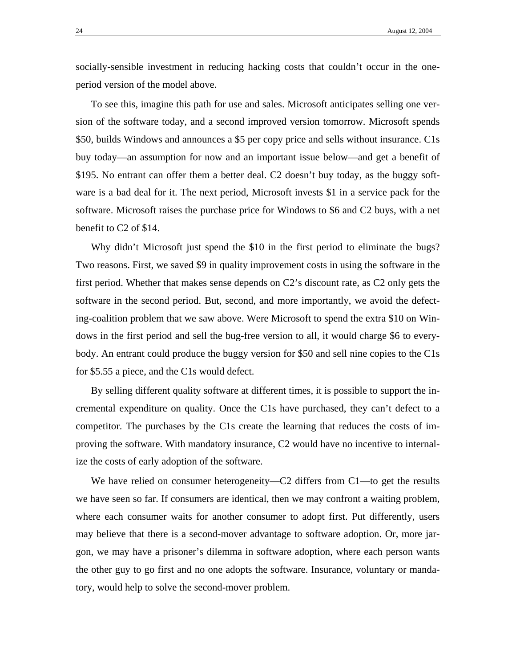socially-sensible investment in reducing hacking costs that couldn't occur in the oneperiod version of the model above.

To see this, imagine this path for use and sales. Microsoft anticipates selling one version of the software today, and a second improved version tomorrow. Microsoft spends \$50, builds Windows and announces a \$5 per copy price and sells without insurance. C1s buy today—an assumption for now and an important issue below—and get a benefit of \$195. No entrant can offer them a better deal. C2 doesn't buy today, as the buggy software is a bad deal for it. The next period, Microsoft invests \$1 in a service pack for the software. Microsoft raises the purchase price for Windows to \$6 and C2 buys, with a net benefit to C2 of \$14.

Why didn't Microsoft just spend the \$10 in the first period to eliminate the bugs? Two reasons. First, we saved \$9 in quality improvement costs in using the software in the first period. Whether that makes sense depends on C2's discount rate, as C2 only gets the software in the second period. But, second, and more importantly, we avoid the defecting-coalition problem that we saw above. Were Microsoft to spend the extra \$10 on Windows in the first period and sell the bug-free version to all, it would charge \$6 to everybody. An entrant could produce the buggy version for \$50 and sell nine copies to the C1s for \$5.55 a piece, and the C1s would defect.

By selling different quality software at different times, it is possible to support the incremental expenditure on quality. Once the C1s have purchased, they can't defect to a competitor. The purchases by the C1s create the learning that reduces the costs of improving the software. With mandatory insurance, C2 would have no incentive to internalize the costs of early adoption of the software.

We have relied on consumer heterogeneity—C2 differs from C1—to get the results we have seen so far. If consumers are identical, then we may confront a waiting problem, where each consumer waits for another consumer to adopt first. Put differently, users may believe that there is a second-mover advantage to software adoption. Or, more jargon, we may have a prisoner's dilemma in software adoption, where each person wants the other guy to go first and no one adopts the software. Insurance, voluntary or mandatory, would help to solve the second-mover problem.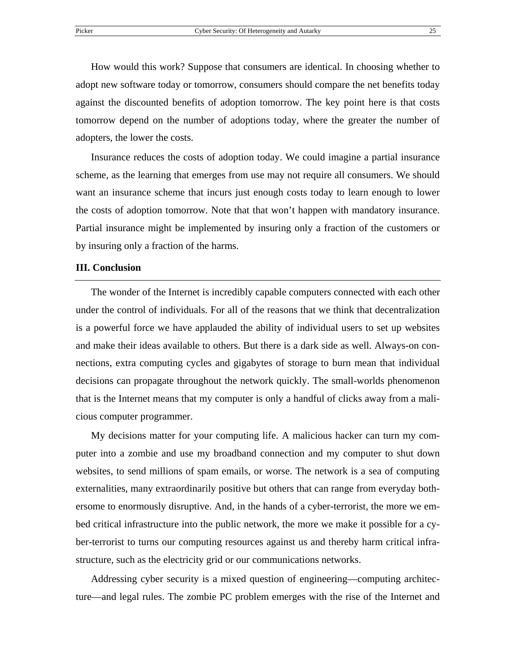How would this work? Suppose that consumers are identical. In choosing whether to adopt new software today or tomorrow, consumers should compare the net benefits today against the discounted benefits of adoption tomorrow. The key point here is that costs tomorrow depend on the number of adoptions today, where the greater the number of adopters, the lower the costs.

Insurance reduces the costs of adoption today. We could imagine a partial insurance scheme, as the learning that emerges from use may not require all consumers. We should want an insurance scheme that incurs just enough costs today to learn enough to lower the costs of adoption tomorrow. Note that that won't happen with mandatory insurance. Partial insurance might be implemented by insuring only a fraction of the customers or by insuring only a fraction of the harms.

#### **III. Conclusion**

The wonder of the Internet is incredibly capable computers connected with each other under the control of individuals. For all of the reasons that we think that decentralization is a powerful force we have applauded the ability of individual users to set up websites and make their ideas available to others. But there is a dark side as well. Always-on connections, extra computing cycles and gigabytes of storage to burn mean that individual decisions can propagate throughout the network quickly. The small-worlds phenomenon that is the Internet means that my computer is only a handful of clicks away from a malicious computer programmer.

My decisions matter for your computing life. A malicious hacker can turn my computer into a zombie and use my broadband connection and my computer to shut down websites, to send millions of spam emails, or worse. The network is a sea of computing externalities, many extraordinarily positive but others that can range from everyday bothersome to enormously disruptive. And, in the hands of a cyber-terrorist, the more we embed critical infrastructure into the public network, the more we make it possible for a cyber-terrorist to turns our computing resources against us and thereby harm critical infrastructure, such as the electricity grid or our communications networks.

Addressing cyber security is a mixed question of engineering—computing architecture—and legal rules. The zombie PC problem emerges with the rise of the Internet and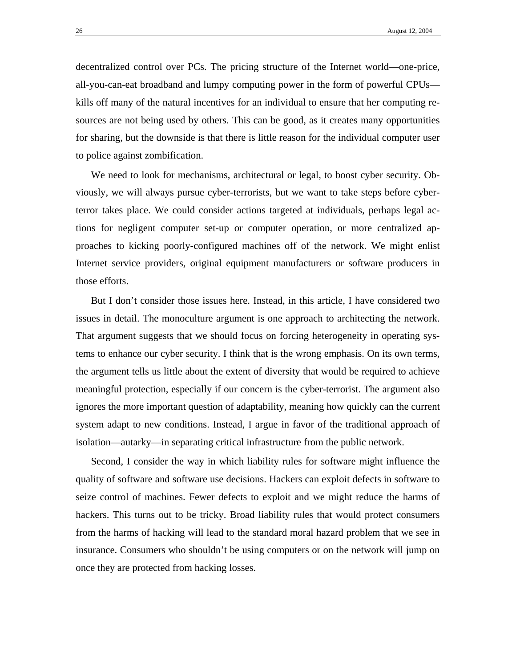decentralized control over PCs. The pricing structure of the Internet world—one-price, all-you-can-eat broadband and lumpy computing power in the form of powerful CPUs kills off many of the natural incentives for an individual to ensure that her computing resources are not being used by others. This can be good, as it creates many opportunities for sharing, but the downside is that there is little reason for the individual computer user to police against zombification.

We need to look for mechanisms, architectural or legal, to boost cyber security. Obviously, we will always pursue cyber-terrorists, but we want to take steps before cyberterror takes place. We could consider actions targeted at individuals, perhaps legal actions for negligent computer set-up or computer operation, or more centralized approaches to kicking poorly-configured machines off of the network. We might enlist Internet service providers, original equipment manufacturers or software producers in those efforts.

But I don't consider those issues here. Instead, in this article, I have considered two issues in detail. The monoculture argument is one approach to architecting the network. That argument suggests that we should focus on forcing heterogeneity in operating systems to enhance our cyber security. I think that is the wrong emphasis. On its own terms, the argument tells us little about the extent of diversity that would be required to achieve meaningful protection, especially if our concern is the cyber-terrorist. The argument also ignores the more important question of adaptability, meaning how quickly can the current system adapt to new conditions. Instead, I argue in favor of the traditional approach of isolation—autarky—in separating critical infrastructure from the public network.

Second, I consider the way in which liability rules for software might influence the quality of software and software use decisions. Hackers can exploit defects in software to seize control of machines. Fewer defects to exploit and we might reduce the harms of hackers. This turns out to be tricky. Broad liability rules that would protect consumers from the harms of hacking will lead to the standard moral hazard problem that we see in insurance. Consumers who shouldn't be using computers or on the network will jump on once they are protected from hacking losses.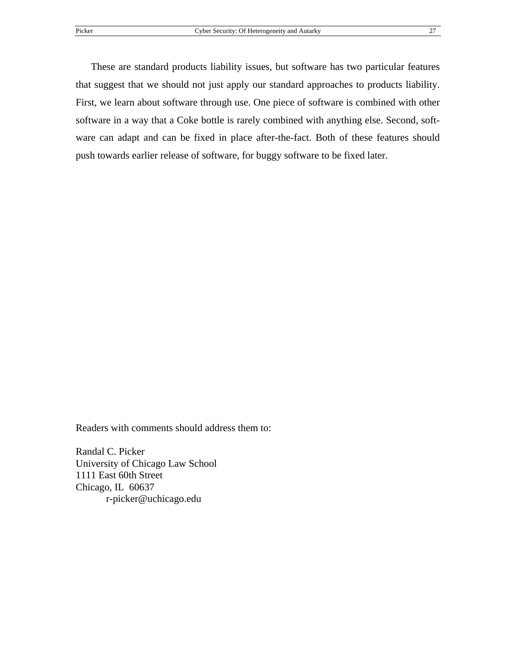These are standard products liability issues, but software has two particular features that suggest that we should not just apply our standard approaches to products liability. First, we learn about software through use. One piece of software is combined with other software in a way that a Coke bottle is rarely combined with anything else. Second, software can adapt and can be fixed in place after-the-fact. Both of these features should push towards earlier release of software, for buggy software to be fixed later.

Readers with comments should address them to:

Randal C. Picker University of Chicago Law School 1111 East 60th Street Chicago, IL 60637 r-picker@uchicago.edu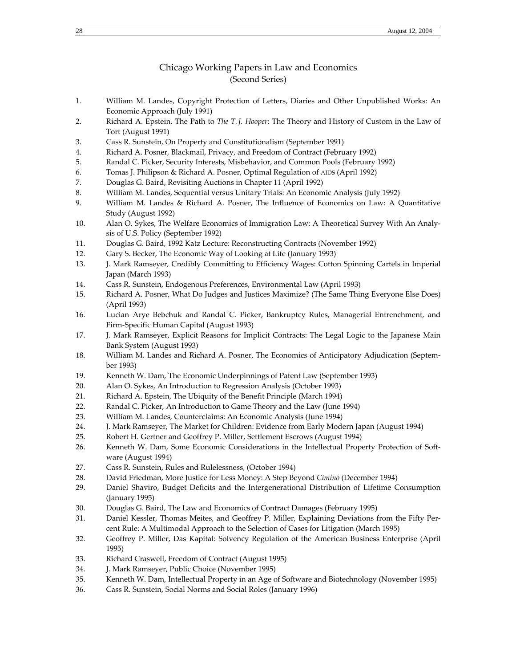#### Chicago Working Papers in Law and Economics (Second Series)

- 1. William M. Landes, Copyright Protection of Letters, Diaries and Other Unpublished Works: An Economic Approach (July 1991)
- 2. Richard A. Epstein, The Path to *The T. J. Hooper*: The Theory and History of Custom in the Law of Tort (August 1991)
- 3. Cass R. Sunstein, On Property and Constitutionalism (September 1991)
- 4. Richard A. Posner, Blackmail, Privacy, and Freedom of Contract (February 1992)
- 5. Randal C. Picker, Security Interests, Misbehavior, and Common Pools (February 1992)
- 6. Tomas J. Philipson & Richard A. Posner, Optimal Regulation of AIDS (April 1992)
- 7. Douglas G. Baird, Revisiting Auctions in Chapter 11 (April 1992)
- 8. William M. Landes, Sequential versus Unitary Trials: An Economic Analysis (July 1992)
- 9. William M. Landes & Richard A. Posner, The Influence of Economics on Law: A Quantitative Study (August 1992)
- 10. Alan O. Sykes, The Welfare Economics of Immigration Law: A Theoretical Survey With An Analysis of U.S. Policy (September 1992)
- 11. Douglas G. Baird, 1992 Katz Lecture: Reconstructing Contracts (November 1992)
- 12. Gary S. Becker, The Economic Way of Looking at Life (January 1993)
- 13. J. Mark Ramseyer, Credibly Committing to Efficiency Wages: Cotton Spinning Cartels in Imperial Japan (March 1993)
- 14. Cass R. Sunstein, Endogenous Preferences, Environmental Law (April 1993)
- 15. Richard A. Posner, What Do Judges and Justices Maximize? (The Same Thing Everyone Else Does) (April 1993)
- 16. Lucian Arye Bebchuk and Randal C. Picker, Bankruptcy Rules, Managerial Entrenchment, and Firm-Specific Human Capital (August 1993)
- 17. J. Mark Ramseyer, Explicit Reasons for Implicit Contracts: The Legal Logic to the Japanese Main Bank System (August 1993)
- 18. William M. Landes and Richard A. Posner, The Economics of Anticipatory Adjudication (September 1993)
- 19. Kenneth W. Dam, The Economic Underpinnings of Patent Law (September 1993)
- 20. Alan O. Sykes, An Introduction to Regression Analysis (October 1993)
- 21. Richard A. Epstein, The Ubiquity of the Benefit Principle (March 1994)
- 22. Randal C. Picker, An Introduction to Game Theory and the Law (June 1994)
- 23. William M. Landes, Counterclaims: An Economic Analysis (June 1994)
- 24. J. Mark Ramseyer, The Market for Children: Evidence from Early Modern Japan (August 1994)
- 25. Robert H. Gertner and Geoffrey P. Miller, Settlement Escrows (August 1994)
- 26. Kenneth W. Dam, Some Economic Considerations in the Intellectual Property Protection of Software (August 1994)
- 27. Cass R. Sunstein, Rules and Rulelessness, (October 1994)
- 28. David Friedman, More Justice for Less Money: A Step Beyond *Cimino* (December 1994)
- 29. Daniel Shaviro, Budget Deficits and the Intergenerational Distribution of Lifetime Consumption (January 1995)
- 30. Douglas G. Baird, The Law and Economics of Contract Damages (February 1995)
- 31. Daniel Kessler, Thomas Meites, and Geoffrey P. Miller, Explaining Deviations from the Fifty Percent Rule: A Multimodal Approach to the Selection of Cases for Litigation (March 1995)
- 32. Geoffrey P. Miller, Das Kapital: Solvency Regulation of the American Business Enterprise (April 1995)
- 33. Richard Craswell, Freedom of Contract (August 1995)
- 34. J. Mark Ramseyer, Public Choice (November 1995)
- 35. Kenneth W. Dam, Intellectual Property in an Age of Software and Biotechnology (November 1995)
- 36. Cass R. Sunstein, Social Norms and Social Roles (January 1996)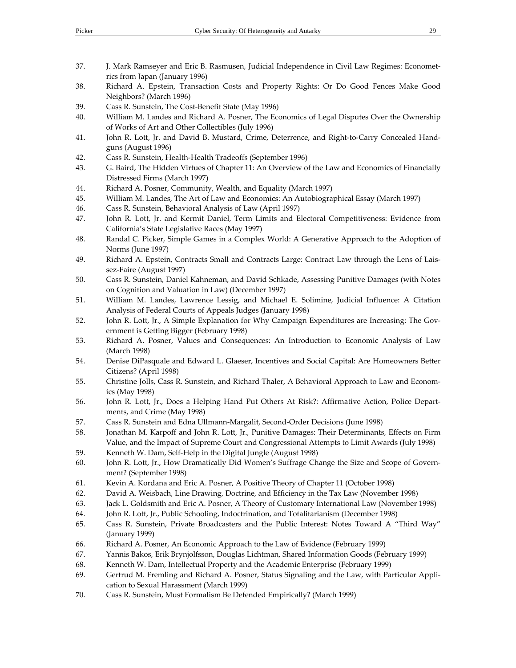- 37. J. Mark Ramseyer and Eric B. Rasmusen, Judicial Independence in Civil Law Regimes: Econometrics from Japan (January 1996)
- 38. Richard A. Epstein, Transaction Costs and Property Rights: Or Do Good Fences Make Good Neighbors? (March 1996)
- 39. Cass R. Sunstein, The Cost-Benefit State (May 1996)
- 40. William M. Landes and Richard A. Posner, The Economics of Legal Disputes Over the Ownership of Works of Art and Other Collectibles (July 1996)
- 41. John R. Lott, Jr. and David B. Mustard, Crime, Deterrence, and Right-to-Carry Concealed Handguns (August 1996)
- 42. Cass R. Sunstein, Health-Health Tradeoffs (September 1996)
- 43. G. Baird, The Hidden Virtues of Chapter 11: An Overview of the Law and Economics of Financially Distressed Firms (March 1997)
- 44. Richard A. Posner, Community, Wealth, and Equality (March 1997)
- 45. William M. Landes, The Art of Law and Economics: An Autobiographical Essay (March 1997)
- 46. Cass R. Sunstein, Behavioral Analysis of Law (April 1997)
- 47. John R. Lott, Jr. and Kermit Daniel, Term Limits and Electoral Competitiveness: Evidence from California's State Legislative Races (May 1997)
- 48. Randal C. Picker, Simple Games in a Complex World: A Generative Approach to the Adoption of Norms (June 1997)
- 49. Richard A. Epstein, Contracts Small and Contracts Large: Contract Law through the Lens of Laissez-Faire (August 1997)
- 50. Cass R. Sunstein, Daniel Kahneman, and David Schkade, Assessing Punitive Damages (with Notes on Cognition and Valuation in Law) (December 1997)
- 51. William M. Landes, Lawrence Lessig, and Michael E. Solimine, Judicial Influence: A Citation Analysis of Federal Courts of Appeals Judges (January 1998)
- 52. John R. Lott, Jr., A Simple Explanation for Why Campaign Expenditures are Increasing: The Government is Getting Bigger (February 1998)
- 53. Richard A. Posner, Values and Consequences: An Introduction to Economic Analysis of Law (March 1998)
- 54. Denise DiPasquale and Edward L. Glaeser, Incentives and Social Capital: Are Homeowners Better Citizens? (April 1998)
- 55. Christine Jolls, Cass R. Sunstein, and Richard Thaler, A Behavioral Approach to Law and Economics (May 1998)
- 56. John R. Lott, Jr., Does a Helping Hand Put Others At Risk?: Affirmative Action, Police Departments, and Crime (May 1998)
- 57. Cass R. Sunstein and Edna Ullmann-Margalit, Second-Order Decisions (June 1998)
- 58. Jonathan M. Karpoff and John R. Lott, Jr., Punitive Damages: Their Determinants, Effects on Firm Value, and the Impact of Supreme Court and Congressional Attempts to Limit Awards (July 1998)
- 59. Kenneth W. Dam, Self-Help in the Digital Jungle (August 1998)
- 60. John R. Lott, Jr., How Dramatically Did Women's Suffrage Change the Size and Scope of Government? (September 1998)
- 61. Kevin A. Kordana and Eric A. Posner, A Positive Theory of Chapter 11 (October 1998)
- 62. David A. Weisbach, Line Drawing, Doctrine, and Efficiency in the Tax Law (November 1998)
- 63. Jack L. Goldsmith and Eric A. Posner, A Theory of Customary International Law (November 1998)
- 64. John R. Lott, Jr., Public Schooling, Indoctrination, and Totalitarianism (December 1998)
- 65. Cass R. Sunstein, Private Broadcasters and the Public Interest: Notes Toward A "Third Way" (January 1999)
- 66. Richard A. Posner, An Economic Approach to the Law of Evidence (February 1999)
- 67. Yannis Bakos, Erik Brynjolfsson, Douglas Lichtman, Shared Information Goods (February 1999)
- 68. Kenneth W. Dam, Intellectual Property and the Academic Enterprise (February 1999)
- 69. Gertrud M. Fremling and Richard A. Posner, Status Signaling and the Law, with Particular Application to Sexual Harassment (March 1999)
- 70. Cass R. Sunstein, Must Formalism Be Defended Empirically? (March 1999)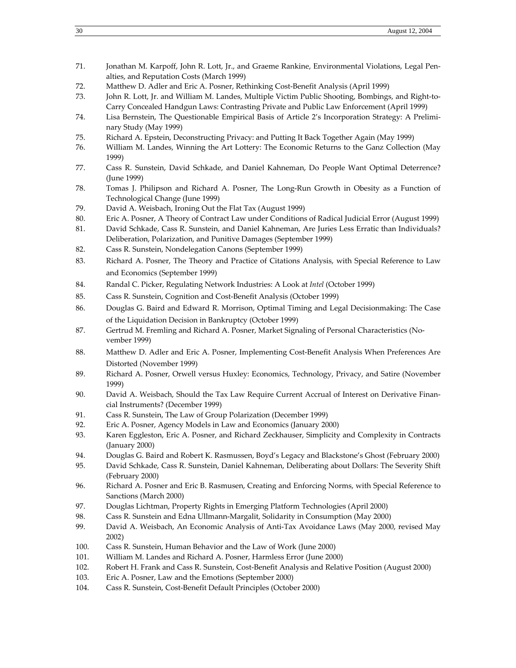- 71. Jonathan M. Karpoff, John R. Lott, Jr., and Graeme Rankine, Environmental Violations, Legal Penalties, and Reputation Costs (March 1999)
- 72. Matthew D. Adler and Eric A. Posner, Rethinking Cost-Benefit Analysis (April 1999)
- 73. John R. Lott, Jr. and William M. Landes, Multiple Victim Public Shooting, Bombings, and Right-to-Carry Concealed Handgun Laws: Contrasting Private and Public Law Enforcement (April 1999)
- 74. Lisa Bernstein, The Questionable Empirical Basis of Article 2's Incorporation Strategy: A Preliminary Study (May 1999)
- 75. Richard A. Epstein, Deconstructing Privacy: and Putting It Back Together Again (May 1999)
- 76. William M. Landes, Winning the Art Lottery: The Economic Returns to the Ganz Collection (May 1999)
- 77. Cass R. Sunstein, David Schkade, and Daniel Kahneman, Do People Want Optimal Deterrence? (June 1999)
- 78. Tomas J. Philipson and Richard A. Posner, The Long-Run Growth in Obesity as a Function of Technological Change (June 1999)
- 79. David A. Weisbach, Ironing Out the Flat Tax (August 1999)
- 80. Eric A. Posner, A Theory of Contract Law under Conditions of Radical Judicial Error (August 1999)
- 81. David Schkade, Cass R. Sunstein, and Daniel Kahneman, Are Juries Less Erratic than Individuals? Deliberation, Polarization, and Punitive Damages (September 1999)
- 82. Cass R. Sunstein, Nondelegation Canons (September 1999)
- 83. Richard A. Posner, The Theory and Practice of Citations Analysis, with Special Reference to Law and Economics (September 1999)
- 84. Randal C. Picker, Regulating Network Industries: A Look at *Intel* (October 1999)
- 85. Cass R. Sunstein, Cognition and Cost-Benefit Analysis (October 1999)
- 86. Douglas G. Baird and Edward R. Morrison, Optimal Timing and Legal Decisionmaking: The Case of the Liquidation Decision in Bankruptcy (October 1999)
- 87. Gertrud M. Fremling and Richard A. Posner, Market Signaling of Personal Characteristics (November 1999)
- 88. Matthew D. Adler and Eric A. Posner, Implementing Cost-Benefit Analysis When Preferences Are Distorted (November 1999)
- 89. Richard A. Posner, Orwell versus Huxley: Economics, Technology, Privacy, and Satire (November 1999)
- 90. David A. Weisbach, Should the Tax Law Require Current Accrual of Interest on Derivative Financial Instruments? (December 1999)
- 91. Cass R. Sunstein, The Law of Group Polarization (December 1999)
- 92. Eric A. Posner, Agency Models in Law and Economics (January 2000)
- 93. Karen Eggleston, Eric A. Posner, and Richard Zeckhauser, Simplicity and Complexity in Contracts (January 2000)
- 94. Douglas G. Baird and Robert K. Rasmussen, Boyd's Legacy and Blackstone's Ghost (February 2000)
- 95. David Schkade, Cass R. Sunstein, Daniel Kahneman, Deliberating about Dollars: The Severity Shift (February 2000)
- 96. Richard A. Posner and Eric B. Rasmusen, Creating and Enforcing Norms, with Special Reference to Sanctions (March 2000)
- 97. Douglas Lichtman, Property Rights in Emerging Platform Technologies (April 2000)
- 98. Cass R. Sunstein and Edna Ullmann-Margalit, Solidarity in Consumption (May 2000)
- 99. David A. Weisbach, An Economic Analysis of Anti-Tax Avoidance Laws (May 2000, revised May 2002)
- 100. Cass R. Sunstein, Human Behavior and the Law of Work (June 2000)
- 101. William M. Landes and Richard A. Posner, Harmless Error (June 2000)
- 102. Robert H. Frank and Cass R. Sunstein, Cost-Benefit Analysis and Relative Position (August 2000)
- 103. Eric A. Posner, Law and the Emotions (September 2000)
- 104. Cass R. Sunstein, Cost-Benefit Default Principles (October 2000)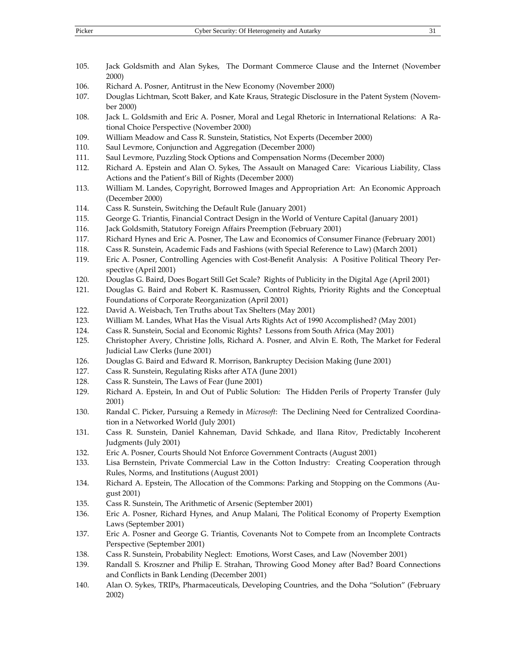- 105. Jack Goldsmith and Alan Sykes, The Dormant Commerce Clause and the Internet (November 2000)
- 106. Richard A. Posner, Antitrust in the New Economy (November 2000)
- 107. Douglas Lichtman, Scott Baker, and Kate Kraus, Strategic Disclosure in the Patent System (November 2000)
- 108. Jack L. Goldsmith and Eric A. Posner, Moral and Legal Rhetoric in International Relations: A Rational Choice Perspective (November 2000)
- 109. William Meadow and Cass R. Sunstein, Statistics, Not Experts (December 2000)
- 110. Saul Levmore, Conjunction and Aggregation (December 2000)
- 111. Saul Levmore, Puzzling Stock Options and Compensation Norms (December 2000)
- 112. Richard A. Epstein and Alan O. Sykes, The Assault on Managed Care: Vicarious Liability, Class Actions and the Patient's Bill of Rights (December 2000)
- 113. William M. Landes, Copyright, Borrowed Images and Appropriation Art: An Economic Approach (December 2000)
- 114. Cass R. Sunstein, Switching the Default Rule (January 2001)
- 115. George G. Triantis, Financial Contract Design in the World of Venture Capital (January 2001)
- 116. Jack Goldsmith, Statutory Foreign Affairs Preemption (February 2001)
- 117. Richard Hynes and Eric A. Posner, The Law and Economics of Consumer Finance (February 2001)
- 118. Cass R. Sunstein, Academic Fads and Fashions (with Special Reference to Law) (March 2001)
- 119. Eric A. Posner, Controlling Agencies with Cost-Benefit Analysis: A Positive Political Theory Perspective (April 2001)
- 120. Douglas G. Baird, Does Bogart Still Get Scale? Rights of Publicity in the Digital Age (April 2001)
- 121. Douglas G. Baird and Robert K. Rasmussen, Control Rights, Priority Rights and the Conceptual Foundations of Corporate Reorganization (April 2001)
- 122. David A. Weisbach, Ten Truths about Tax Shelters (May 2001)
- 123. William M. Landes, What Has the Visual Arts Rights Act of 1990 Accomplished? (May 2001)
- 124. Cass R. Sunstein, Social and Economic Rights? Lessons from South Africa (May 2001)
- 125. Christopher Avery, Christine Jolls, Richard A. Posner, and Alvin E. Roth, The Market for Federal Judicial Law Clerks (June 2001)
- 126. Douglas G. Baird and Edward R. Morrison, Bankruptcy Decision Making (June 2001)
- 127. Cass R. Sunstein, Regulating Risks after ATA (June 2001)
- 128. Cass R. Sunstein, The Laws of Fear (June 2001)
- 129. Richard A. Epstein, In and Out of Public Solution: The Hidden Perils of Property Transfer (July 2001)
- 130. Randal C. Picker, Pursuing a Remedy in *Microsoft*: The Declining Need for Centralized Coordination in a Networked World (July 2001)
- 131. Cass R. Sunstein, Daniel Kahneman, David Schkade, and Ilana Ritov, Predictably Incoherent Judgments (July 2001)
- 132. Eric A. Posner, Courts Should Not Enforce Government Contracts (August 2001)
- 133. Lisa Bernstein, Private Commercial Law in the Cotton Industry: Creating Cooperation through Rules, Norms, and Institutions (August 2001)
- 134. Richard A. Epstein, The Allocation of the Commons: Parking and Stopping on the Commons (August 2001)
- 135. Cass R. Sunstein, The Arithmetic of Arsenic (September 2001)
- 136. Eric A. Posner, Richard Hynes, and Anup Malani, The Political Economy of Property Exemption Laws (September 2001)
- 137. Eric A. Posner and George G. Triantis, Covenants Not to Compete from an Incomplete Contracts Perspective (September 2001)
- 138. Cass R. Sunstein, Probability Neglect: Emotions, Worst Cases, and Law (November 2001)
- 139. Randall S. Kroszner and Philip E. Strahan, Throwing Good Money after Bad? Board Connections and Conflicts in Bank Lending (December 2001)
- 140. Alan O. Sykes, TRIPs, Pharmaceuticals, Developing Countries, and the Doha "Solution" (February 2002)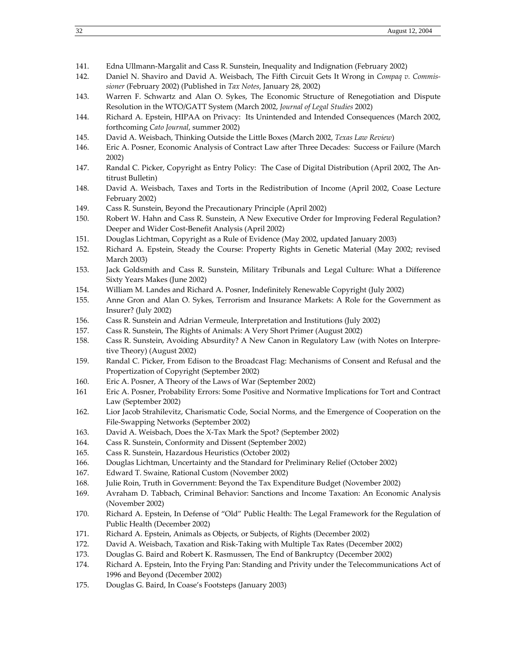- 141. Edna Ullmann-Margalit and Cass R. Sunstein, Inequality and Indignation (February 2002)
- 142. Daniel N. Shaviro and David A. Weisbach, The Fifth Circuit Gets It Wrong in *Compaq v. Commissioner* (February 2002) (Published in *Tax Notes*, January 28, 2002)
- 143. Warren F. Schwartz and Alan O. Sykes, The Economic Structure of Renegotiation and Dispute Resolution in the WTO/GATT System (March 2002, *Journal of Legal Studies* 2002)
- 144. Richard A. Epstein, HIPAA on Privacy: Its Unintended and Intended Consequences (March 2002, forthcoming *Cato Journal*, summer 2002)
- 145. David A. Weisbach, Thinking Outside the Little Boxes (March 2002, *Texas Law Review*)
- 146. Eric A. Posner, Economic Analysis of Contract Law after Three Decades: Success or Failure (March 2002)
- 147. Randal C. Picker, Copyright as Entry Policy: The Case of Digital Distribution (April 2002, The Antitrust Bulletin)
- 148. David A. Weisbach, Taxes and Torts in the Redistribution of Income (April 2002, Coase Lecture February 2002)
- 149. Cass R. Sunstein, Beyond the Precautionary Principle (April 2002)
- 150. Robert W. Hahn and Cass R. Sunstein, A New Executive Order for Improving Federal Regulation? Deeper and Wider Cost-Benefit Analysis (April 2002)
- 151. Douglas Lichtman, Copyright as a Rule of Evidence (May 2002, updated January 2003)
- 152. Richard A. Epstein, Steady the Course: Property Rights in Genetic Material (May 2002; revised March 2003)
- 153. Jack Goldsmith and Cass R. Sunstein, Military Tribunals and Legal Culture: What a Difference Sixty Years Makes (June 2002)
- 154. William M. Landes and Richard A. Posner, Indefinitely Renewable Copyright (July 2002)
- 155. Anne Gron and Alan O. Sykes, Terrorism and Insurance Markets: A Role for the Government as Insurer? (July 2002)
- 156. Cass R. Sunstein and Adrian Vermeule, Interpretation and Institutions (July 2002)
- 157. Cass R. Sunstein, The Rights of Animals: A Very Short Primer (August 2002)
- 158. Cass R. Sunstein, Avoiding Absurdity? A New Canon in Regulatory Law (with Notes on Interpretive Theory) (August 2002)
- 159. Randal C. Picker, From Edison to the Broadcast Flag: Mechanisms of Consent and Refusal and the Propertization of Copyright (September 2002)
- 160. Eric A. Posner, A Theory of the Laws of War (September 2002)
- 161 Eric A. Posner, Probability Errors: Some Positive and Normative Implications for Tort and Contract Law (September 2002)
- 162. Lior Jacob Strahilevitz, Charismatic Code, Social Norms, and the Emergence of Cooperation on the File-Swapping Networks (September 2002)
- 163. David A. Weisbach, Does the X-Tax Mark the Spot? (September 2002)
- 164. Cass R. Sunstein, Conformity and Dissent (September 2002)
- 165. Cass R. Sunstein, Hazardous Heuristics (October 2002)
- 166. Douglas Lichtman, Uncertainty and the Standard for Preliminary Relief (October 2002)
- 167. Edward T. Swaine, Rational Custom (November 2002)
- 168. Julie Roin, Truth in Government: Beyond the Tax Expenditure Budget (November 2002)
- 169. Avraham D. Tabbach, Criminal Behavior: Sanctions and Income Taxation: An Economic Analysis (November 2002)
- 170. Richard A. Epstein, In Defense of "Old" Public Health: The Legal Framework for the Regulation of Public Health (December 2002)
- 171. Richard A. Epstein, Animals as Objects, or Subjects, of Rights (December 2002)
- 172. David A. Weisbach, Taxation and Risk-Taking with Multiple Tax Rates (December 2002)
- 173. Douglas G. Baird and Robert K. Rasmussen, The End of Bankruptcy (December 2002)
- 174. Richard A. Epstein, Into the Frying Pan: Standing and Privity under the Telecommunications Act of 1996 and Beyond (December 2002)
- 175. Douglas G. Baird, In Coase's Footsteps (January 2003)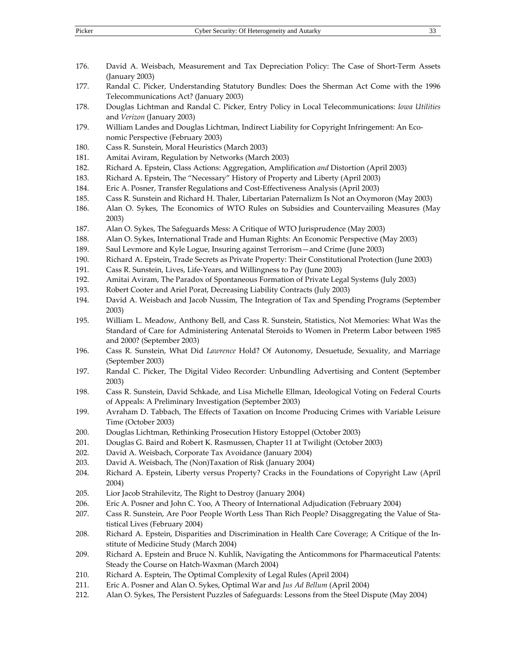- 176. David A. Weisbach, Measurement and Tax Depreciation Policy: The Case of Short-Term Assets (January 2003)
- 177. Randal C. Picker, Understanding Statutory Bundles: Does the Sherman Act Come with the 1996 Telecommunications Act? (January 2003)
- 178. Douglas Lichtman and Randal C. Picker, Entry Policy in Local Telecommunications: *Iowa Utilities* and *Verizon* (January 2003)
- 179. William Landes and Douglas Lichtman, Indirect Liability for Copyright Infringement: An Economic Perspective (February 2003)
- 180. Cass R. Sunstein, Moral Heuristics (March 2003)
- 181. Amitai Aviram, Regulation by Networks (March 2003)
- 182. Richard A. Epstein, Class Actions: Aggregation, Amplification *and* Distortion (April 2003)
- 183. Richard A. Epstein, The "Necessary" History of Property and Liberty (April 2003)
- 184. Eric A. Posner, Transfer Regulations and Cost-Effectiveness Analysis (April 2003)
- 185. Cass R. Sunstein and Richard H. Thaler, Libertarian Paternalizm Is Not an Oxymoron (May 2003)
- 186. Alan O. Sykes, The Economics of WTO Rules on Subsidies and Countervailing Measures (May 2003)
- 187. Alan O. Sykes, The Safeguards Mess: A Critique of WTO Jurisprudence (May 2003)
- 188. Alan O. Sykes, International Trade and Human Rights: An Economic Perspective (May 2003)
- 189. Saul Levmore and Kyle Logue, Insuring against Terrorism—and Crime (June 2003)
- 190. Richard A. Epstein, Trade Secrets as Private Property: Their Constitutional Protection (June 2003)
- 191. Cass R. Sunstein, Lives, Life-Years, and Willingness to Pay (June 2003)
- 192. Amitai Aviram, The Paradox of Spontaneous Formation of Private Legal Systems (July 2003)
- 193. Robert Cooter and Ariel Porat, Decreasing Liability Contracts (July 2003)
- 194. David A. Weisbach and Jacob Nussim, The Integration of Tax and Spending Programs (September 2003)
- 195. William L. Meadow, Anthony Bell, and Cass R. Sunstein, Statistics, Not Memories: What Was the Standard of Care for Administering Antenatal Steroids to Women in Preterm Labor between 1985 and 2000? (September 2003)
- 196. Cass R. Sunstein, What Did *Lawrence* Hold? Of Autonomy, Desuetude, Sexuality, and Marriage (September 2003)
- 197. Randal C. Picker, The Digital Video Recorder: Unbundling Advertising and Content (September 2003)
- 198. Cass R. Sunstein, David Schkade, and Lisa Michelle Ellman, Ideological Voting on Federal Courts of Appeals: A Preliminary Investigation (September 2003)
- 199. Avraham D. Tabbach, The Effects of Taxation on Income Producing Crimes with Variable Leisure Time (October 2003)
- 200. Douglas Lichtman, Rethinking Prosecution History Estoppel (October 2003)
- 201. Douglas G. Baird and Robert K. Rasmussen, Chapter 11 at Twilight (October 2003)
- 202. David A. Weisbach, Corporate Tax Avoidance (January 2004)
- 203. David A. Weisbach, The (Non)Taxation of Risk (January 2004)
- 204. Richard A. Epstein, Liberty versus Property? Cracks in the Foundations of Copyright Law (April 2004)
- 205. Lior Jacob Strahilevitz, The Right to Destroy (January 2004)
- 206. Eric A. Posner and John C. Yoo, A Theory of International Adjudication (February 2004)
- 207. Cass R. Sunstein, Are Poor People Worth Less Than Rich People? Disaggregating the Value of Statistical Lives (February 2004)
- 208. Richard A. Epstein, Disparities and Discrimination in Health Care Coverage; A Critique of the Institute of Medicine Study (March 2004)
- 209. Richard A. Epstein and Bruce N. Kuhlik, Navigating the Anticommons for Pharmaceutical Patents: Steady the Course on Hatch-Waxman (March 2004)
- 210. Richard A. Esptein, The Optimal Complexity of Legal Rules (April 2004)
- 211. Eric A. Posner and Alan O. Sykes, Optimal War and *Jus Ad Bellum* (April 2004)
- 212. Alan O. Sykes, The Persistent Puzzles of Safeguards: Lessons from the Steel Dispute (May 2004)